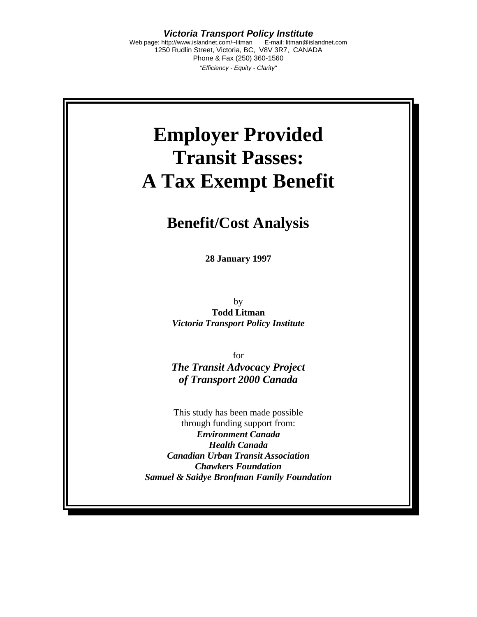*Victoria Transport Policy Institute*  Web page: http://www.islandnet.com/~litman E-mail: litman@islandnet.com

1250 Rudlin Street, Victoria, BC, V8V 3R7, CANADA Phone & Fax (250) 360-1560 *"Efficiency - Equity - Clarity"* 

# **Employer Provided Transit Passes: A Tax Exempt Benefit**

# **Benefit/Cost Analysis**

**28 January 1997** 

by **Todd Litman**  *Victoria Transport Policy Institute* 

for *The Transit Advocacy Project of Transport 2000 Canada* 

This study has been made possible through funding support from: *Environment Canada Health Canada Canadian Urban Transit Association Chawkers Foundation Samuel & Saidye Bronfman Family Foundation*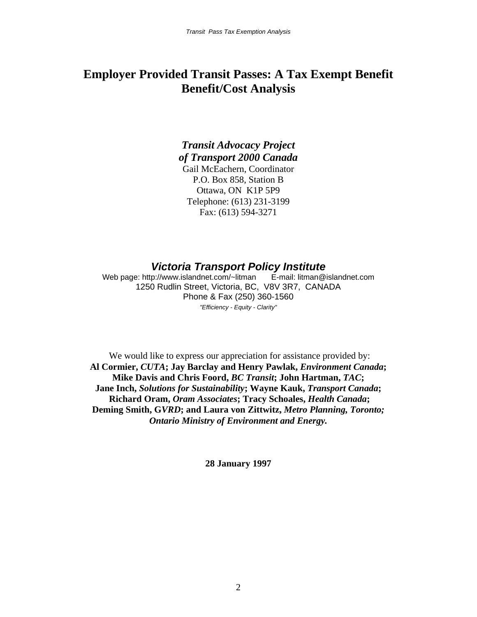# **Employer Provided Transit Passes: A Tax Exempt Benefit Benefit/Cost Analysis**

# *Transit Advocacy Project of Transport 2000 Canada*

Gail McEachern, Coordinator P.O. Box 858, Station B Ottawa, ON K1P 5P9 Telephone: (613) 231-3199 Fax: (613) 594-3271

# *Victoria Transport Policy Institute*

Web page: http://www.islandnet.com/~litman E-mail: litman@islandnet.com 1250 Rudlin Street, Victoria, BC, V8V 3R7, CANADA Phone & Fax (250) 360-1560 *"Efficiency - Equity - Clarity"* 

We would like to express our appreciation for assistance provided by: **Al Cormier,** *CUTA***; Jay Barclay and Henry Pawlak,** *Environment Canada***; Mike Davis and Chris Foord,** *BC Transit***; John Hartman,** *TAC***; Jane Inch,** *Solutions for Sustainability***; Wayne Kauk,** *Transport Canada***; Richard Oram,** *Oram Associates***; Tracy Schoales,** *Health Canada***; Deming Smith, G***VRD***; and Laura von Zittwitz,** *Metro Planning, Toronto; Ontario Ministry of Environment and Energy.*

**28 January 1997**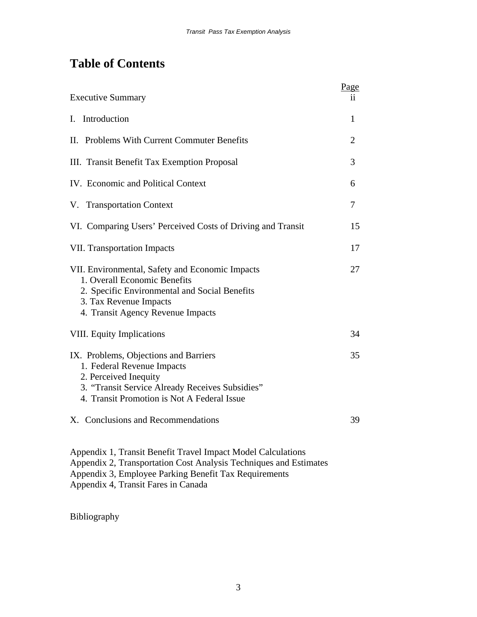# **Table of Contents**

| <b>Executive Summary</b>                                                                                                                                                                                                                                                                                                                                                 | Page<br>İİ. |
|--------------------------------------------------------------------------------------------------------------------------------------------------------------------------------------------------------------------------------------------------------------------------------------------------------------------------------------------------------------------------|-------------|
| I. Introduction                                                                                                                                                                                                                                                                                                                                                          | 1           |
| II. Problems With Current Commuter Benefits                                                                                                                                                                                                                                                                                                                              | 2           |
| III. Transit Benefit Tax Exemption Proposal                                                                                                                                                                                                                                                                                                                              | 3           |
| IV. Economic and Political Context                                                                                                                                                                                                                                                                                                                                       | 6           |
| V. Transportation Context                                                                                                                                                                                                                                                                                                                                                | 7           |
| VI. Comparing Users' Perceived Costs of Driving and Transit                                                                                                                                                                                                                                                                                                              | 15          |
| <b>VII. Transportation Impacts</b>                                                                                                                                                                                                                                                                                                                                       | 17          |
| VII. Environmental, Safety and Economic Impacts<br>1. Overall Economic Benefits<br>2. Specific Environmental and Social Benefits<br>3. Tax Revenue Impacts<br>4. Transit Agency Revenue Impacts                                                                                                                                                                          | 27          |
| <b>VIII.</b> Equity Implications                                                                                                                                                                                                                                                                                                                                         | 34          |
| IX. Problems, Objections and Barriers<br>1. Federal Revenue Impacts<br>2. Perceived Inequity<br>3. "Transit Service Already Receives Subsidies"<br>4. Transit Promotion is Not A Federal Issue                                                                                                                                                                           | 35          |
| X. Conclusions and Recommendations<br>$\overline{1}$ and $\overline{1}$ and $\overline{1}$ and $\overline{1}$ and $\overline{1}$ and $\overline{1}$ and $\overline{1}$ and $\overline{1}$ and $\overline{1}$ and $\overline{1}$ and $\overline{1}$ and $\overline{1}$ and $\overline{1}$ and $\overline{1}$ and $\overline{1}$ and $\overline{1}$ and $\overline{1}$ and | 39          |

Appendix 1, Transit Benefit Travel Impact Model Calculations Appendix 2, Transportation Cost Analysis Techniques and Estimates Appendix 3, Employee Parking Benefit Tax Requirements Appendix 4, Transit Fares in Canada

Bibliography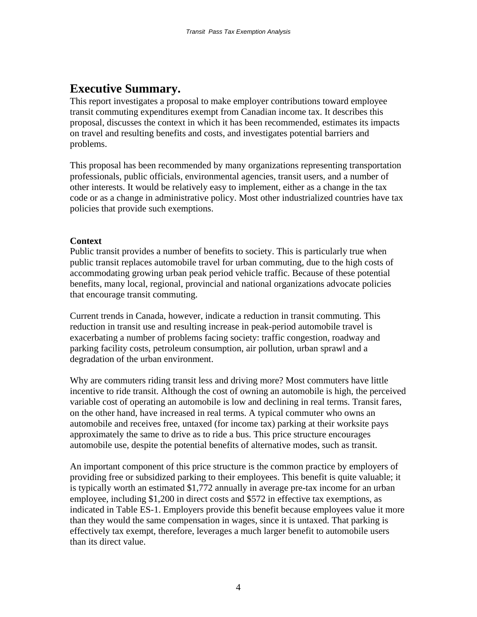# **Executive Summary.**

This report investigates a proposal to make employer contributions toward employee transit commuting expenditures exempt from Canadian income tax. It describes this proposal, discusses the context in which it has been recommended, estimates its impacts on travel and resulting benefits and costs, and investigates potential barriers and problems.

This proposal has been recommended by many organizations representing transportation professionals, public officials, environmental agencies, transit users, and a number of other interests. It would be relatively easy to implement, either as a change in the tax code or as a change in administrative policy. Most other industrialized countries have tax policies that provide such exemptions.

### **Context**

Public transit provides a number of benefits to society. This is particularly true when public transit replaces automobile travel for urban commuting, due to the high costs of accommodating growing urban peak period vehicle traffic. Because of these potential benefits, many local, regional, provincial and national organizations advocate policies that encourage transit commuting.

Current trends in Canada, however, indicate a reduction in transit commuting. This reduction in transit use and resulting increase in peak-period automobile travel is exacerbating a number of problems facing society: traffic congestion, roadway and parking facility costs, petroleum consumption, air pollution, urban sprawl and a degradation of the urban environment.

Why are commuters riding transit less and driving more? Most commuters have little incentive to ride transit. Although the cost of owning an automobile is high, the perceived variable cost of operating an automobile is low and declining in real terms. Transit fares, on the other hand, have increased in real terms. A typical commuter who owns an automobile and receives free, untaxed (for income tax) parking at their worksite pays approximately the same to drive as to ride a bus. This price structure encourages automobile use, despite the potential benefits of alternative modes, such as transit.

An important component of this price structure is the common practice by employers of providing free or subsidized parking to their employees. This benefit is quite valuable; it is typically worth an estimated \$1,772 annually in average pre-tax income for an urban employee, including \$1,200 in direct costs and \$572 in effective tax exemptions, as indicated in Table ES-1. Employers provide this benefit because employees value it more than they would the same compensation in wages, since it is untaxed. That parking is effectively tax exempt, therefore, leverages a much larger benefit to automobile users than its direct value.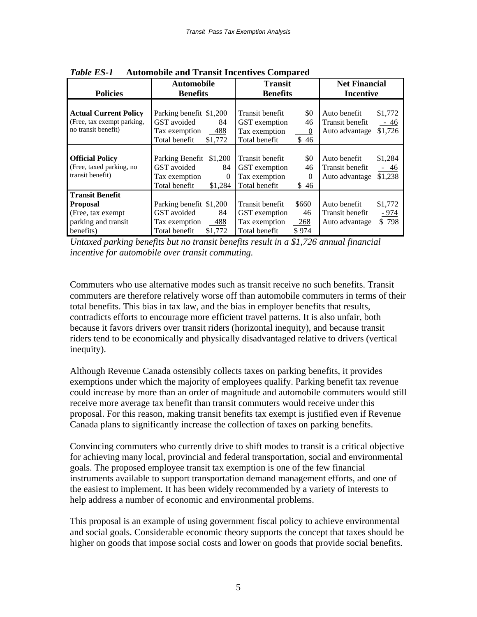| rigionioshe and Transit Incentryls Compared                                                         |                                                                                                       |                                                                                                             |                                                                                  |  |  |
|-----------------------------------------------------------------------------------------------------|-------------------------------------------------------------------------------------------------------|-------------------------------------------------------------------------------------------------------------|----------------------------------------------------------------------------------|--|--|
| <b>Automobile</b>                                                                                   |                                                                                                       | <b>Transit</b>                                                                                              | <b>Net Financial</b>                                                             |  |  |
| <b>Policies</b>                                                                                     | <b>Benefits</b>                                                                                       | <b>Benefits</b>                                                                                             | <b>Incentive</b>                                                                 |  |  |
| <b>Actual Current Policy</b><br>(Free, tax exempt parking,<br>no transit benefit)                   | Parking benefit \$1,200<br>GST avoided<br>84<br>Tax exemption<br>$-488$<br>Total benefit<br>\$1,772   | \$0<br>Transit benefit<br>46<br>GST exemption<br>Tax exemption<br>$\theta$<br>Total benefit<br>\$46         | \$1,772<br>Auto benefit<br>Transit benefit<br>$-46$<br>\$1,726<br>Auto advantage |  |  |
| <b>Official Policy</b><br>(Free, taxed parking, no<br>transit benefit)                              | Parking Benefit \$1,200<br>GST avoided<br>84<br>Tax exemption<br>$\theta$<br>Total benefit<br>\$1,284 | \$0<br>Transit benefit<br>46<br>GST exemption<br>Tax exemption<br>$\boldsymbol{0}$<br>Total benefit<br>\$46 | Auto benefit<br>\$1,284<br>Transit benefit<br>$-46$<br>\$1,238<br>Auto advantage |  |  |
| <b>Transit Benefit</b><br><b>Proposal</b><br>(Free, tax exempt)<br>parking and transit<br>benefits) | Parking benefit \$1,200<br>GST avoided<br>84<br>488<br>Tax exemption<br>Total benefit<br>\$1,772      | Transit benefit<br>\$660<br>46<br>GST exemption<br>Tax exemption<br>268<br>Total benefit<br>\$974           | \$1,772<br>Auto benefit<br>Transit benefit<br>$-974$<br>\$798<br>Auto advantage  |  |  |

*Table ES-1* **Automobile and Transit Incentives Compared** 

*Untaxed parking benefits but no transit benefits result in a \$1,726 annual financial incentive for automobile over transit commuting.* 

Commuters who use alternative modes such as transit receive no such benefits. Transit commuters are therefore relatively worse off than automobile commuters in terms of their total benefits. This bias in tax law, and the bias in employer benefits that results, contradicts efforts to encourage more efficient travel patterns. It is also unfair, both because it favors drivers over transit riders (horizontal inequity), and because transit riders tend to be economically and physically disadvantaged relative to drivers (vertical inequity).

Although Revenue Canada ostensibly collects taxes on parking benefits, it provides exemptions under which the majority of employees qualify. Parking benefit tax revenue could increase by more than an order of magnitude and automobile commuters would still receive more average tax benefit than transit commuters would receive under this proposal. For this reason, making transit benefits tax exempt is justified even if Revenue Canada plans to significantly increase the collection of taxes on parking benefits.

Convincing commuters who currently drive to shift modes to transit is a critical objective for achieving many local, provincial and federal transportation, social and environmental goals. The proposed employee transit tax exemption is one of the few financial instruments available to support transportation demand management efforts, and one of the easiest to implement. It has been widely recommended by a variety of interests to help address a number of economic and environmental problems.

This proposal is an example of using government fiscal policy to achieve environmental and social goals. Considerable economic theory supports the concept that taxes should be higher on goods that impose social costs and lower on goods that provide social benefits.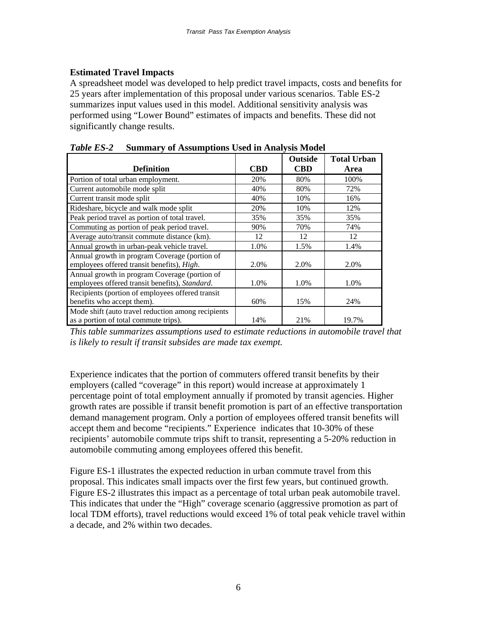# **Estimated Travel Impacts**

A spreadsheet model was developed to help predict travel impacts, costs and benefits for 25 years after implementation of this proposal under various scenarios. Table ES-2 summarizes input values used in this model. Additional sensitivity analysis was performed using "Lower Bound" estimates of impacts and benefits. These did not significantly change results.

|                                                    |            | <b>Outside</b> | <b>Total Urban</b> |
|----------------------------------------------------|------------|----------------|--------------------|
| <b>Definition</b>                                  | <b>CBD</b> | <b>CBD</b>     | Area               |
| Portion of total urban employment.                 | 20%        | 80%            | 100%               |
| Current automobile mode split                      | 40%        | 80%            | 72%                |
| Current transit mode split                         | 40%        | 10%            | 16%                |
| Rideshare, bicycle and walk mode split             | 20%        | 10%            | 12%                |
| Peak period travel as portion of total travel.     | 35%        | 35%            | 35%                |
| Commuting as portion of peak period travel.        | 90%        | 70%            | 74%                |
| Average auto/transit commute distance (km).        | 12         | 12             | 12                 |
| Annual growth in urban-peak vehicle travel.        | 1.0%       | 1.5%           | 1.4%               |
| Annual growth in program Coverage (portion of      |            |                |                    |
| employees offered transit benefits), High.         | 2.0%       | 2.0%           | 2.0%               |
| Annual growth in program Coverage (portion of      |            |                |                    |
| employees offered transit benefits), Standard.     | 1.0%       | 1.0%           | 1.0%               |
| Recipients (portion of employees offered transit   |            |                |                    |
| benefits who accept them).                         | 60%        | 15%            | 24%                |
| Mode shift (auto travel reduction among recipients |            |                |                    |
| as a portion of total commute trips).              | 14%        | 21%            | 19.7%              |

*Table ES-2* **Summary of Assumptions Used in Analysis Model** 

*This table summarizes assumptions used to estimate reductions in automobile travel that is likely to result if transit subsides are made tax exempt.* 

Experience indicates that the portion of commuters offered transit benefits by their employers (called "coverage" in this report) would increase at approximately 1 percentage point of total employment annually if promoted by transit agencies. Higher growth rates are possible if transit benefit promotion is part of an effective transportation demand management program. Only a portion of employees offered transit benefits will accept them and become "recipients." Experience indicates that 10-30% of these recipients' automobile commute trips shift to transit, representing a 5-20% reduction in automobile commuting among employees offered this benefit.

Figure ES-1 illustrates the expected reduction in urban commute travel from this proposal. This indicates small impacts over the first few years, but continued growth. Figure ES-2 illustrates this impact as a percentage of total urban peak automobile travel. This indicates that under the "High" coverage scenario (aggressive promotion as part of local TDM efforts), travel reductions would exceed 1% of total peak vehicle travel within a decade, and 2% within two decades.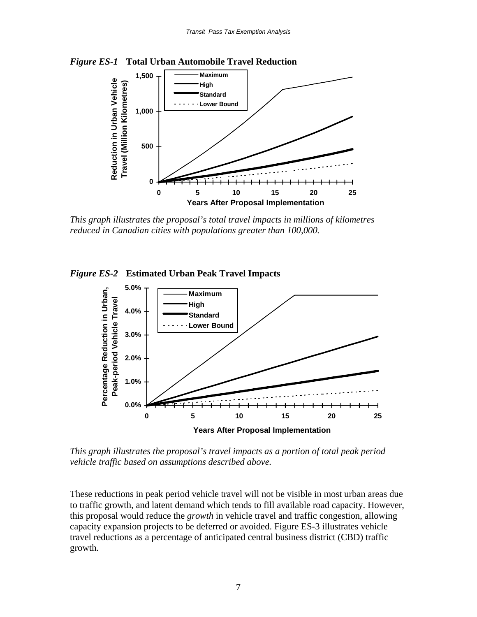



*This graph illustrates the proposal's total travel impacts in millions of kilometres reduced in Canadian cities with populations greater than 100,000.* 





*This graph illustrates the proposal's travel impacts as a portion of total peak period vehicle traffic based on assumptions described above.* 

These reductions in peak period vehicle travel will not be visible in most urban areas due to traffic growth, and latent demand which tends to fill available road capacity. However, this proposal would reduce the *growth* in vehicle travel and traffic congestion, allowing capacity expansion projects to be deferred or avoided. Figure ES-3 illustrates vehicle travel reductions as a percentage of anticipated central business district (CBD) traffic growth.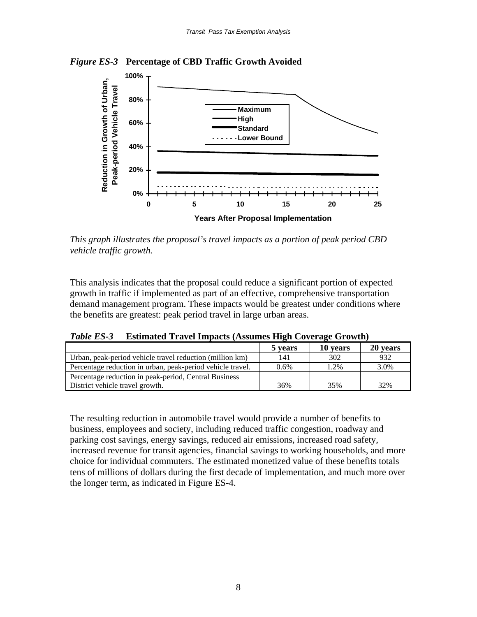



*This graph illustrates the proposal's travel impacts as a portion of peak period CBD vehicle traffic growth.* 

This analysis indicates that the proposal could reduce a significant portion of expected growth in traffic if implemented as part of an effective, comprehensive transportation demand management program. These impacts would be greatest under conditions where the benefits are greatest: peak period travel in large urban areas.

*Table ES-3* **Estimated Travel Impacts (Assumes High Coverage Growth)**

|                                                            | 5 years | 10 years | 20 years |
|------------------------------------------------------------|---------|----------|----------|
| Urban, peak-period vehicle travel reduction (million km)   | 141     | 302      | 932      |
| Percentage reduction in urban, peak-period vehicle travel. | $0.6\%$ | 1.2%     | 3.0%     |
| Percentage reduction in peak-period, Central Business      |         |          |          |
| District vehicle travel growth.                            | 36%     | 35%      | 32%      |

The resulting reduction in automobile travel would provide a number of benefits to business, employees and society, including reduced traffic congestion, roadway and parking cost savings, energy savings, reduced air emissions, increased road safety, increased revenue for transit agencies, financial savings to working households, and more choice for individual commuters. The estimated monetized value of these benefits totals tens of millions of dollars during the first decade of implementation, and much more over the longer term, as indicated in Figure ES-4.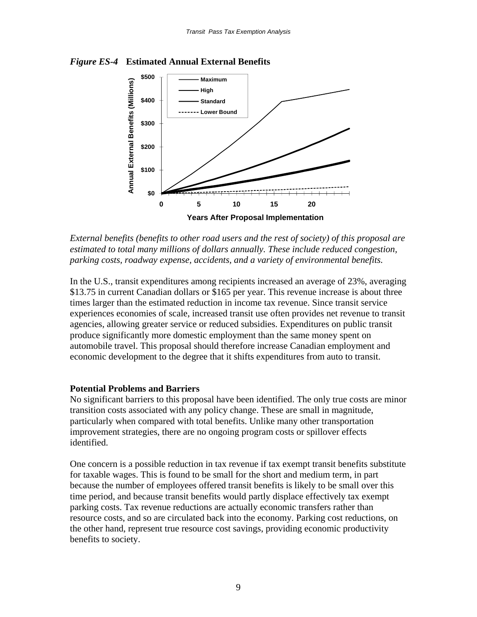



*External benefits (benefits to other road users and the rest of society) of this proposal are estimated to total many millions of dollars annually. These include reduced congestion, parking costs, roadway expense, accidents, and a variety of environmental benefits.*

In the U.S., transit expenditures among recipients increased an average of 23%, averaging \$13.75 in current Canadian dollars or \$165 per year. This revenue increase is about three times larger than the estimated reduction in income tax revenue. Since transit service experiences economies of scale, increased transit use often provides net revenue to transit agencies, allowing greater service or reduced subsidies. Expenditures on public transit produce significantly more domestic employment than the same money spent on automobile travel. This proposal should therefore increase Canadian employment and economic development to the degree that it shifts expenditures from auto to transit.

# **Potential Problems and Barriers**

No significant barriers to this proposal have been identified. The only true costs are minor transition costs associated with any policy change. These are small in magnitude, particularly when compared with total benefits. Unlike many other transportation improvement strategies, there are no ongoing program costs or spillover effects identified.

One concern is a possible reduction in tax revenue if tax exempt transit benefits substitute for taxable wages. This is found to be small for the short and medium term, in part because the number of employees offered transit benefits is likely to be small over this time period, and because transit benefits would partly displace effectively tax exempt parking costs. Tax revenue reductions are actually economic transfers rather than resource costs, and so are circulated back into the economy. Parking cost reductions, on the other hand, represent true resource cost savings, providing economic productivity benefits to society.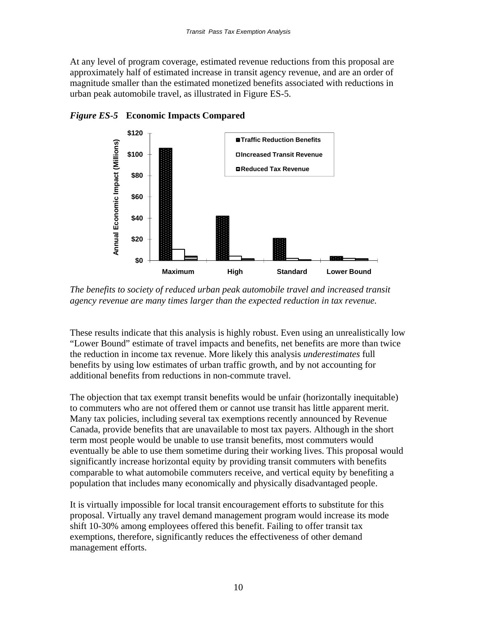At any level of program coverage, estimated revenue reductions from this proposal are approximately half of estimated increase in transit agency revenue, and are an order of magnitude smaller than the estimated monetized benefits associated with reductions in urban peak automobile travel, as illustrated in Figure ES-5.



*Figure ES-5* **Economic Impacts Compared**

*The benefits to society of reduced urban peak automobile travel and increased transit agency revenue are many times larger than the expected reduction in tax revenue.* 

These results indicate that this analysis is highly robust. Even using an unrealistically low "Lower Bound" estimate of travel impacts and benefits, net benefits are more than twice the reduction in income tax revenue. More likely this analysis *underestimates* full benefits by using low estimates of urban traffic growth, and by not accounting for additional benefits from reductions in non-commute travel.

The objection that tax exempt transit benefits would be unfair (horizontally inequitable) to commuters who are not offered them or cannot use transit has little apparent merit. Many tax policies, including several tax exemptions recently announced by Revenue Canada, provide benefits that are unavailable to most tax payers. Although in the short term most people would be unable to use transit benefits, most commuters would eventually be able to use them sometime during their working lives. This proposal would significantly increase horizontal equity by providing transit commuters with benefits comparable to what automobile commuters receive, and vertical equity by benefiting a population that includes many economically and physically disadvantaged people.

It is virtually impossible for local transit encouragement efforts to substitute for this proposal. Virtually any travel demand management program would increase its mode shift 10-30% among employees offered this benefit. Failing to offer transit tax exemptions, therefore, significantly reduces the effectiveness of other demand management efforts.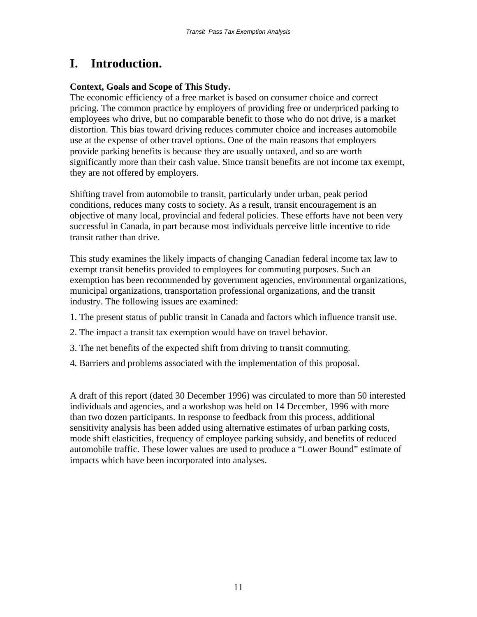# **I. Introduction.**

#### **Context, Goals and Scope of This Study.**

The economic efficiency of a free market is based on consumer choice and correct pricing. The common practice by employers of providing free or underpriced parking to employees who drive, but no comparable benefit to those who do not drive, is a market distortion. This bias toward driving reduces commuter choice and increases automobile use at the expense of other travel options. One of the main reasons that employers provide parking benefits is because they are usually untaxed, and so are worth significantly more than their cash value. Since transit benefits are not income tax exempt, they are not offered by employers.

Shifting travel from automobile to transit, particularly under urban, peak period conditions, reduces many costs to society. As a result, transit encouragement is an objective of many local, provincial and federal policies. These efforts have not been very successful in Canada, in part because most individuals perceive little incentive to ride transit rather than drive.

This study examines the likely impacts of changing Canadian federal income tax law to exempt transit benefits provided to employees for commuting purposes. Such an exemption has been recommended by government agencies, environmental organizations, municipal organizations, transportation professional organizations, and the transit industry. The following issues are examined:

- 1. The present status of public transit in Canada and factors which influence transit use.
- 2. The impact a transit tax exemption would have on travel behavior.
- 3. The net benefits of the expected shift from driving to transit commuting.
- 4. Barriers and problems associated with the implementation of this proposal.

A draft of this report (dated 30 December 1996) was circulated to more than 50 interested individuals and agencies, and a workshop was held on 14 December, 1996 with more than two dozen participants. In response to feedback from this process, additional sensitivity analysis has been added using alternative estimates of urban parking costs, mode shift elasticities, frequency of employee parking subsidy, and benefits of reduced automobile traffic. These lower values are used to produce a "Lower Bound" estimate of impacts which have been incorporated into analyses.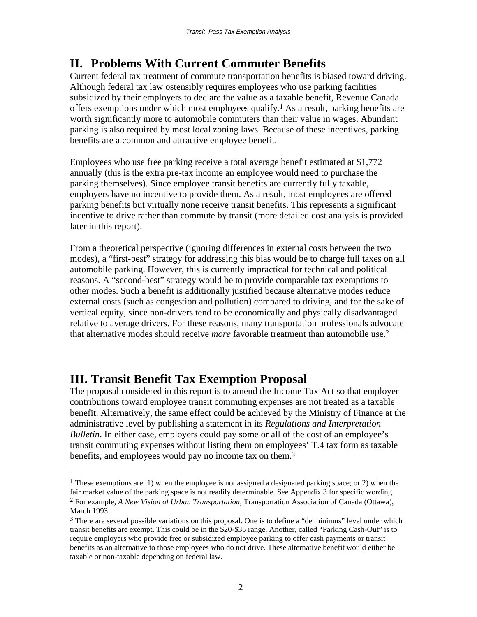# **II. Problems With Current Commuter Benefits**

Current federal tax treatment of commute transportation benefits is biased toward driving. Although federal tax law ostensibly requires employees who use parking facilities subsidized by their employers to declare the value as a taxable benefit, Revenue Canada offers exemptions under which most employees qualify.1 As a result, parking benefits are worth significantly more to automobile commuters than their value in wages. Abundant parking is also required by most local zoning laws. Because of these incentives, parking benefits are a common and attractive employee benefit.

Employees who use free parking receive a total average benefit estimated at \$1,772 annually (this is the extra pre-tax income an employee would need to purchase the parking themselves). Since employee transit benefits are currently fully taxable, employers have no incentive to provide them. As a result, most employees are offered parking benefits but virtually none receive transit benefits. This represents a significant incentive to drive rather than commute by transit (more detailed cost analysis is provided later in this report).

From a theoretical perspective (ignoring differences in external costs between the two modes), a "first-best" strategy for addressing this bias would be to charge full taxes on all automobile parking. However, this is currently impractical for technical and political reasons. A "second-best" strategy would be to provide comparable tax exemptions to other modes. Such a benefit is additionally justified because alternative modes reduce external costs (such as congestion and pollution) compared to driving, and for the sake of vertical equity, since non-drivers tend to be economically and physically disadvantaged relative to average drivers. For these reasons, many transportation professionals advocate that alternative modes should receive *more* favorable treatment than automobile use.2

# **III. Transit Benefit Tax Exemption Proposal**

 $\overline{a}$ 

The proposal considered in this report is to amend the Income Tax Act so that employer contributions toward employee transit commuting expenses are not treated as a taxable benefit. Alternatively, the same effect could be achieved by the Ministry of Finance at the administrative level by publishing a statement in its *Regulations and Interpretation Bulletin*. In either case, employers could pay some or all of the cost of an employee's transit commuting expenses without listing them on employees' T.4 tax form as taxable benefits, and employees would pay no income tax on them.<sup>3</sup>

<sup>&</sup>lt;sup>1</sup> These exemptions are: 1) when the employee is not assigned a designated parking space; or 2) when the fair market value of the parking space is not readily determinable. See Appendix 3 for specific wording. 2 For example, *A New Vision of Urban Transportation*, Transportation Association of Canada (Ottawa), March 1993.

<sup>&</sup>lt;sup>3</sup> There are several possible variations on this proposal. One is to define a "de minimus" level under which transit benefits are exempt. This could be in the \$20-\$35 range. Another, called "Parking Cash-Out" is to require employers who provide free or subsidized employee parking to offer cash payments or transit benefits as an alternative to those employees who do not drive. These alternative benefit would either be taxable or non-taxable depending on federal law.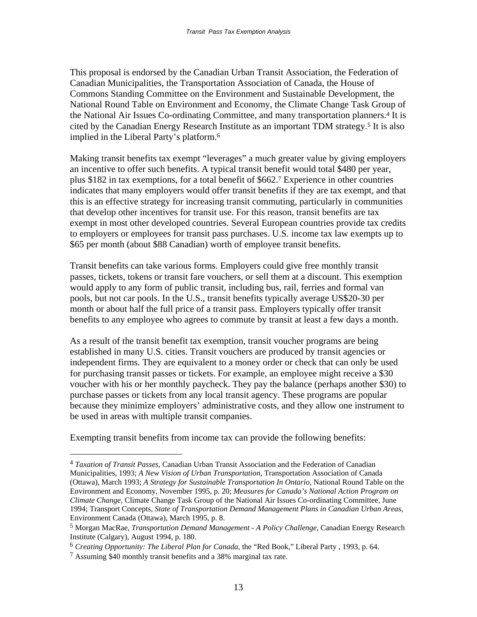This proposal is endorsed by the Canadian Urban Transit Association, the Federation of Canadian Municipalities, the Transportation Association of Canada, the House of Commons Standing Committee on the Environment and Sustainable Development, the National Round Table on Environment and Economy, the Climate Change Task Group of the National Air Issues Co-ordinating Committee, and many transportation planners.4 It is cited by the Canadian Energy Research Institute as an important TDM strategy.5 It is also implied in the Liberal Party's platform.6

Making transit benefits tax exempt "leverages" a much greater value by giving employers an incentive to offer such benefits. A typical transit benefit would total \$480 per year, plus \$182 in tax exemptions, for a total benefit of \$662.7 Experience in other countries indicates that many employers would offer transit benefits if they are tax exempt, and that this is an effective strategy for increasing transit commuting, particularly in communities that develop other incentives for transit use. For this reason, transit benefits are tax exempt in most other developed countries. Several European countries provide tax credits to employers or employees for transit pass purchases. U.S. income tax law exempts up to \$65 per month (about \$88 Canadian) worth of employee transit benefits.

Transit benefits can take various forms. Employers could give free monthly transit passes, tickets, tokens or transit fare vouchers, or sell them at a discount. This exemption would apply to any form of public transit, including bus, rail, ferries and formal van pools, but not car pools. In the U.S., transit benefits typically average US\$20-30 per month or about half the full price of a transit pass. Employers typically offer transit benefits to any employee who agrees to commute by transit at least a few days a month.

As a result of the transit benefit tax exemption, transit voucher programs are being established in many U.S. cities. Transit vouchers are produced by transit agencies or independent firms. They are equivalent to a money order or check that can only be used for purchasing transit passes or tickets. For example, an employee might receive a \$30 voucher with his or her monthly paycheck. They pay the balance (perhaps another \$30) to purchase passes or tickets from any local transit agency. These programs are popular because they minimize employers' administrative costs, and they allow one instrument to be used in areas with multiple transit companies.

Exempting transit benefits from income tax can provide the following benefits:

<sup>4</sup> *Taxation of Transit Passes*, Canadian Urban Transit Association and the Federation of Canadian Municipalities, 1993; *A New Vision of Urban Transportation*, Transportation Association of Canada (Ottawa), March 1993; *A Strategy for Sustainable Transportation In Ontario*, National Round Table on the Environment and Economy, November 1995, p. 20; *Measures for Canada's National Action Program on Climate Change,* Climate Change Task Group of the National Air Issues Co-ordinating Committee, June 1994; Transport Concepts, *State of Transportation Demand Management Plans in Canadian Urban Areas*, Environment Canada (Ottawa), March 1995, p. 8.

<sup>5</sup> Morgan MacRae, *Transportation Demand Management - A Policy Challenge*, Canadian Energy Research Institute (Calgary), August 1994, p. 180.

<sup>6</sup> *Creating Opportunity: The Liberal Plan for Canada*, the "Red Book," Liberal Party , 1993, p. 64.

<sup>7</sup> Assuming \$40 monthly transit benefits and a 38% marginal tax rate.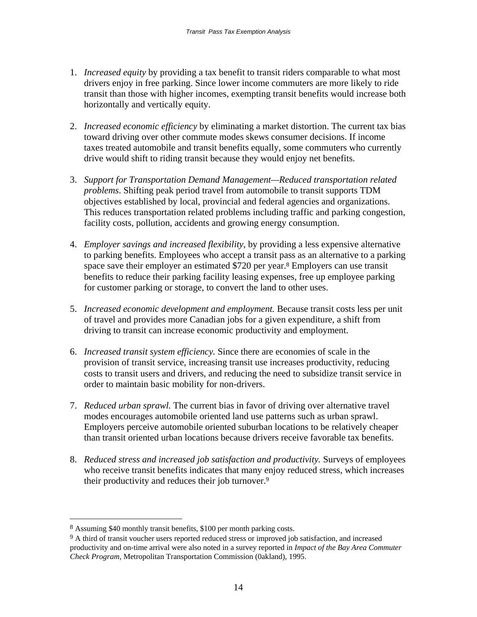- 1. *Increased equity* by providing a tax benefit to transit riders comparable to what most drivers enjoy in free parking. Since lower income commuters are more likely to ride transit than those with higher incomes, exempting transit benefits would increase both horizontally and vertically equity.
- 2. *Increased economic efficiency* by eliminating a market distortion. The current tax bias toward driving over other commute modes skews consumer decisions. If income taxes treated automobile and transit benefits equally, some commuters who currently drive would shift to riding transit because they would enjoy net benefits.
- 3. *Support for Transportation Demand Management—Reduced transportation related problems*. Shifting peak period travel from automobile to transit supports TDM objectives established by local, provincial and federal agencies and organizations. This reduces transportation related problems including traffic and parking congestion, facility costs, pollution, accidents and growing energy consumption.
- 4. *Employer savings and increased flexibility*, by providing a less expensive alternative to parking benefits. Employees who accept a transit pass as an alternative to a parking space save their employer an estimated \$720 per year.8 Employers can use transit benefits to reduce their parking facility leasing expenses, free up employee parking for customer parking or storage, to convert the land to other uses.
- 5. *Increased economic development and employment.* Because transit costs less per unit of travel and provides more Canadian jobs for a given expenditure, a shift from driving to transit can increase economic productivity and employment.
- 6. *Increased transit system efficiency.* Since there are economies of scale in the provision of transit service, increasing transit use increases productivity, reducing costs to transit users and drivers, and reducing the need to subsidize transit service in order to maintain basic mobility for non-drivers.
- 7. *Reduced urban sprawl.* The current bias in favor of driving over alternative travel modes encourages automobile oriented land use patterns such as urban sprawl. Employers perceive automobile oriented suburban locations to be relatively cheaper than transit oriented urban locations because drivers receive favorable tax benefits.
- 8. *Reduced stress and increased job satisfaction and productivity.* Surveys of employees who receive transit benefits indicates that many enjoy reduced stress, which increases their productivity and reduces their job turnover.9

<sup>8</sup> Assuming \$40 monthly transit benefits, \$100 per month parking costs.

<sup>&</sup>lt;sup>9</sup> A third of transit voucher users reported reduced stress or improved job satisfaction, and increased productivity and on-time arrival were also noted in a survey reported in *Impact of the Bay Area Commuter Check Program*, Metropolitan Transportation Commission (0akland), 1995.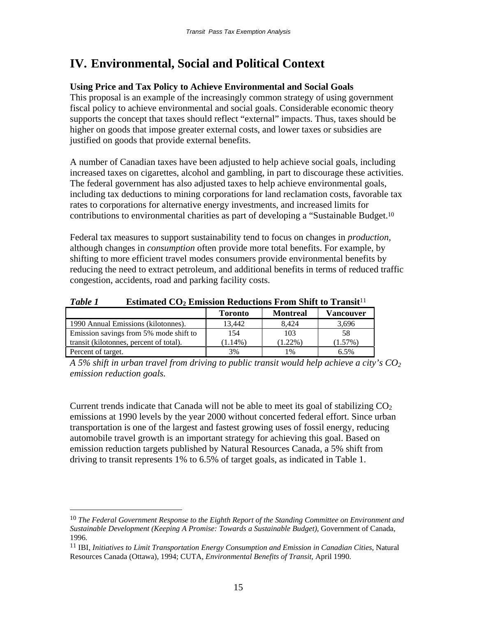# **IV. Environmental, Social and Political Context**

# **Using Price and Tax Policy to Achieve Environmental and Social Goals**

This proposal is an example of the increasingly common strategy of using government fiscal policy to achieve environmental and social goals. Considerable economic theory supports the concept that taxes should reflect "external" impacts. Thus, taxes should be higher on goods that impose greater external costs, and lower taxes or subsidies are justified on goods that provide external benefits.

A number of Canadian taxes have been adjusted to help achieve social goals, including increased taxes on cigarettes, alcohol and gambling, in part to discourage these activities. The federal government has also adjusted taxes to help achieve environmental goals, including tax deductions to mining corporations for land reclamation costs, favorable tax rates to corporations for alternative energy investments, and increased limits for contributions to environmental charities as part of developing a "Sustainable Budget.10

Federal tax measures to support sustainability tend to focus on changes in *production*, although changes in *consumption* often provide more total benefits. For example, by shifting to more efficient travel modes consumers provide environmental benefits by reducing the need to extract petroleum, and additional benefits in terms of reduced traffic congestion, accidents, road and parking facility costs.

| Table 1 | <b>Estimated CO<sub>2</sub> Emission Reductions From Shift to Transit</b> <sup>11</sup> |
|---------|-----------------------------------------------------------------------------------------|
|---------|-----------------------------------------------------------------------------------------|

|                                         | <b>Toronto</b> | <b>Montreal</b> | <b>Vancouver</b> |
|-----------------------------------------|----------------|-----------------|------------------|
| 1990 Annual Emissions (kilotonnes).     | 13.442         | 8.424           | 3.696            |
| Emission savings from 5% mode shift to  | 154            | 103             | 58               |
| transit (kilotonnes, percent of total). | $(1.14\%)$     | $1.22\%$        | $(1.57\%)$       |
| Percent of target.                      | 3%             | 1%              | 6.5%             |

*A 5% shift in urban travel from driving to public transit would help achieve a city's CO<sub>2</sub> emission reduction goals.*

Current trends indicate that Canada will not be able to meet its goal of stabilizing  $CO<sub>2</sub>$ emissions at 1990 levels by the year 2000 without concerted federal effort. Since urban transportation is one of the largest and fastest growing uses of fossil energy, reducing automobile travel growth is an important strategy for achieving this goal. Based on emission reduction targets published by Natural Resources Canada, a 5% shift from driving to transit represents 1% to 6.5% of target goals, as indicated in Table 1.

<sup>10</sup> *The Federal Government Response to the Eighth Report of the Standing Committee on Environment and Sustainable Development (Keeping A Promise: Towards a Sustainable Budget)*, Government of Canada, 1996*.*

<sup>11</sup> IBI, *Initiatives to Limit Transportation Energy Consumption and Emission in Canadian Cities*, Natural Resources Canada (Ottawa), 1994; CUTA, *Environmental Benefits of Transit*, April 1990.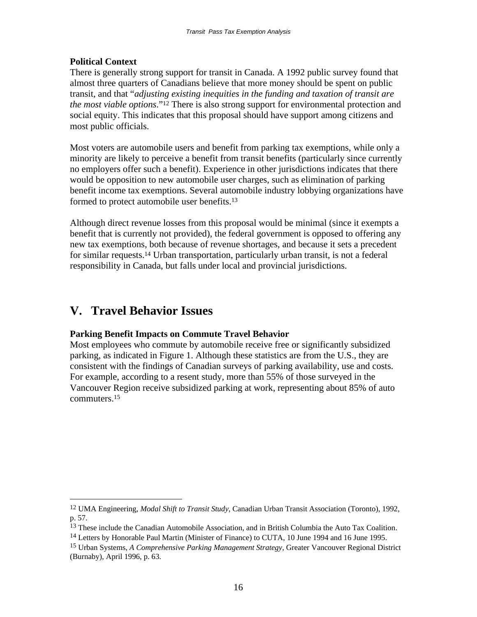# **Political Context**

There is generally strong support for transit in Canada. A 1992 public survey found that almost three quarters of Canadians believe that more money should be spent on public transit, and that "*adjusting existing inequities in the funding and taxation of transit are the most viable options*."12 There is also strong support for environmental protection and social equity. This indicates that this proposal should have support among citizens and most public officials.

Most voters are automobile users and benefit from parking tax exemptions, while only a minority are likely to perceive a benefit from transit benefits (particularly since currently no employers offer such a benefit). Experience in other jurisdictions indicates that there would be opposition to new automobile user charges, such as elimination of parking benefit income tax exemptions. Several automobile industry lobbying organizations have formed to protect automobile user benefits.13

Although direct revenue losses from this proposal would be minimal (since it exempts a benefit that is currently not provided), the federal government is opposed to offering any new tax exemptions, both because of revenue shortages, and because it sets a precedent for similar requests.14 Urban transportation, particularly urban transit, is not a federal responsibility in Canada, but falls under local and provincial jurisdictions.

# **V. Travel Behavior Issues**

 $\overline{a}$ 

#### **Parking Benefit Impacts on Commute Travel Behavior**

Most employees who commute by automobile receive free or significantly subsidized parking, as indicated in Figure 1. Although these statistics are from the U.S., they are consistent with the findings of Canadian surveys of parking availability, use and costs. For example, according to a resent study, more than 55% of those surveyed in the Vancouver Region receive subsidized parking at work, representing about 85% of auto commuters.15

<sup>12</sup> UMA Engineering, *Modal Shift to Transit Study*, Canadian Urban Transit Association (Toronto), 1992, p. 57.

<sup>&</sup>lt;sup>13</sup> These include the Canadian Automobile Association, and in British Columbia the Auto Tax Coalition.

<sup>&</sup>lt;sup>14</sup> Letters by Honorable Paul Martin (Minister of Finance) to CUTA, 10 June 1994 and 16 June 1995.

<sup>15</sup> Urban Systems, *A Comprehensive Parking Management Strategy*, Greater Vancouver Regional District (Burnaby), April 1996, p. 63.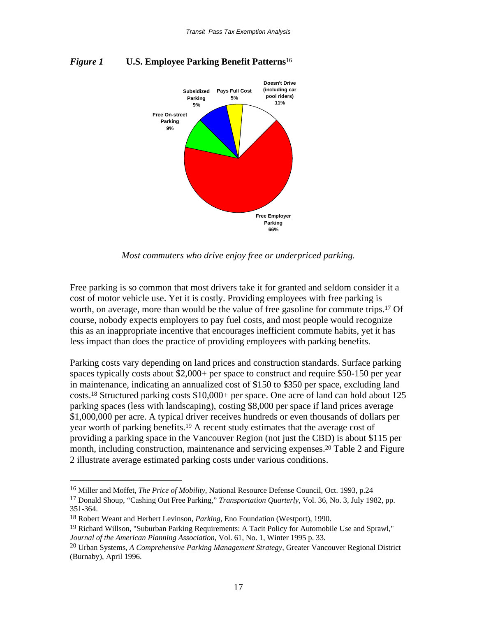

*Figure 1* **U.S. Employee Parking Benefit Patterns**<sup>16</sup>

*Most commuters who drive enjoy free or underpriced parking.*

Free parking is so common that most drivers take it for granted and seldom consider it a cost of motor vehicle use. Yet it is costly. Providing employees with free parking is worth, on average, more than would be the value of free gasoline for commute trips.<sup>17</sup> Of course, nobody expects employers to pay fuel costs, and most people would recognize this as an inappropriate incentive that encourages inefficient commute habits, yet it has less impact than does the practice of providing employees with parking benefits.

Parking costs vary depending on land prices and construction standards. Surface parking spaces typically costs about \$2,000+ per space to construct and require \$50-150 per year in maintenance, indicating an annualized cost of \$150 to \$350 per space, excluding land costs.18 Structured parking costs \$10,000+ per space. One acre of land can hold about 125 parking spaces (less with landscaping), costing \$8,000 per space if land prices average \$1,000,000 per acre. A typical driver receives hundreds or even thousands of dollars per year worth of parking benefits.19 A recent study estimates that the average cost of providing a parking space in the Vancouver Region (not just the CBD) is about \$115 per month, including construction, maintenance and servicing expenses.20 Table 2 and Figure 2 illustrate average estimated parking costs under various conditions.

<sup>16</sup> Miller and Moffet, *The Price of Mobility*, National Resource Defense Council, Oct. 1993, p.24

<sup>17</sup> Donald Shoup, "Cashing Out Free Parking," *Transportation Quarterly*, Vol. 36, No. 3, July 1982, pp. 351-364.

<sup>18</sup> Robert Weant and Herbert Levinson, *Parking*, Eno Foundation (Westport), 1990.

<sup>19</sup> Richard Willson, "Suburban Parking Requirements: A Tacit Policy for Automobile Use and Sprawl," *Journal of the American Planning Association*, Vol. 61, No. 1, Winter 1995 p. 33.

<sup>20</sup> Urban Systems, *A Comprehensive Parking Management Strategy*, Greater Vancouver Regional District (Burnaby), April 1996.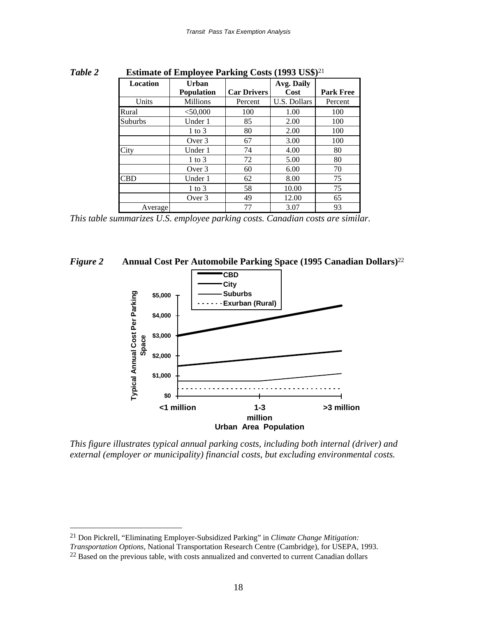| 1 uvvl 2 | Estimate of Employee I aliming Costs $(1/2)$ CD $\psi$ |                   |                    |              |                  |
|----------|--------------------------------------------------------|-------------------|--------------------|--------------|------------------|
|          | <b>Location</b>                                        | <b>Urban</b>      |                    | Avg. Daily   |                  |
|          |                                                        | <b>Population</b> | <b>Car Drivers</b> | Cost         | <b>Park Free</b> |
|          | Units                                                  | <b>Millions</b>   | Percent            | U.S. Dollars | Percent          |
|          | Rural                                                  | $<$ 50,000        | 100                | 1.00         | 100              |
|          | Suburbs                                                | Under 1           | 85                 | 2.00         | 100              |
|          |                                                        | $1 \text{ to } 3$ | 80                 | 2.00         | 100              |
|          |                                                        | Over 3            | 67                 | 3.00         | 100              |
|          | City                                                   | Under 1           | 74                 | 4.00         | 80               |
|          |                                                        | $1$ to $3$        | 72                 | 5.00         | 80               |
|          |                                                        | Over 3            | 60                 | 6.00         | 70               |
|          | <b>CBD</b>                                             | Under 1           | 62                 | 8.00         | 75               |
|          |                                                        | $1 \text{ to } 3$ | 58                 | 10.00        | 75               |
|          |                                                        | Over 3            | 49                 | 12.00        | 65               |
|          | Average                                                |                   | 77                 | 3.07         | 93               |

*Table 2* **Estimate of Employee Parking Costs (1993 US\$)**<sup>21</sup>

*This table summarizes U.S. employee parking costs. Canadian costs are similar.* 





*This figure illustrates typical annual parking costs, including both internal (driver) and external (employer or municipality) financial costs, but excluding environmental costs.* 

<sup>21</sup> Don Pickrell, "Eliminating Employer-Subsidized Parking" in *Climate Change Mitigation:* 

*Transportation Options*, National Transportation Research Centre (Cambridge), for USEPA, 1993.

<sup>&</sup>lt;sup>22</sup> Based on the previous table, with costs annualized and converted to current Canadian dollars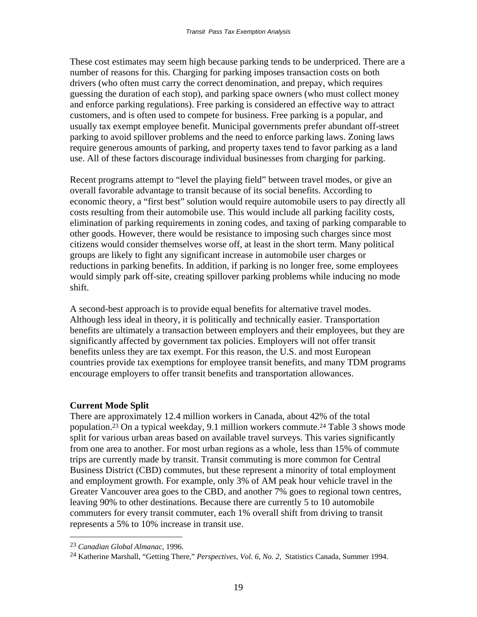These cost estimates may seem high because parking tends to be underpriced. There are a number of reasons for this. Charging for parking imposes transaction costs on both drivers (who often must carry the correct denomination, and prepay, which requires guessing the duration of each stop), and parking space owners (who must collect money and enforce parking regulations). Free parking is considered an effective way to attract customers, and is often used to compete for business. Free parking is a popular, and usually tax exempt employee benefit. Municipal governments prefer abundant off-street parking to avoid spillover problems and the need to enforce parking laws. Zoning laws require generous amounts of parking, and property taxes tend to favor parking as a land use. All of these factors discourage individual businesses from charging for parking.

Recent programs attempt to "level the playing field" between travel modes, or give an overall favorable advantage to transit because of its social benefits. According to economic theory, a "first best" solution would require automobile users to pay directly all costs resulting from their automobile use. This would include all parking facility costs, elimination of parking requirements in zoning codes, and taxing of parking comparable to other goods. However, there would be resistance to imposing such charges since most citizens would consider themselves worse off, at least in the short term. Many political groups are likely to fight any significant increase in automobile user charges or reductions in parking benefits. In addition, if parking is no longer free, some employees would simply park off-site, creating spillover parking problems while inducing no mode shift.

A second-best approach is to provide equal benefits for alternative travel modes. Although less ideal in theory, it is politically and technically easier. Transportation benefits are ultimately a transaction between employers and their employees, but they are significantly affected by government tax policies. Employers will not offer transit benefits unless they are tax exempt. For this reason, the U.S. and most European countries provide tax exemptions for employee transit benefits, and many TDM programs encourage employers to offer transit benefits and transportation allowances.

# **Current Mode Split**

There are approximately 12.4 million workers in Canada, about 42% of the total population.23 On a typical weekday, 9.1 million workers commute.24 Table 3 shows mode split for various urban areas based on available travel surveys. This varies significantly from one area to another. For most urban regions as a whole, less than 15% of commute trips are currently made by transit. Transit commuting is more common for Central Business District (CBD) commutes, but these represent a minority of total employment and employment growth. For example, only 3% of AM peak hour vehicle travel in the Greater Vancouver area goes to the CBD, and another 7% goes to regional town centres, leaving 90% to other destinations. Because there are currently 5 to 10 automobile commuters for every transit commuter, each 1% overall shift from driving to transit represents a 5% to 10% increase in transit use.

<sup>23</sup> *Canadian Global Almanac*, 1996.

<sup>24</sup> Katherine Marshall, "Getting There," *Perspectives, Vol. 6, No. 2,* Statistics Canada, Summer 1994.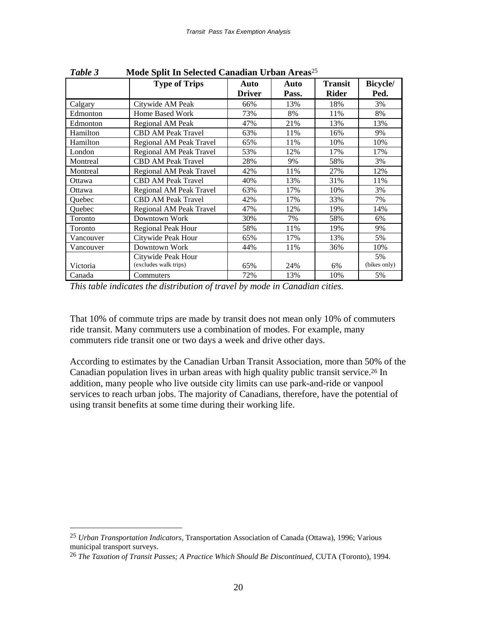| <b>Treat opin in Sciected Canadian Croan Treas</b> |                           |               |       |                |                 |
|----------------------------------------------------|---------------------------|---------------|-------|----------------|-----------------|
|                                                    | <b>Type of Trips</b>      | Auto          | Auto  | <b>Transit</b> | <b>Bicycle/</b> |
|                                                    |                           | <b>Driver</b> | Pass. | <b>Rider</b>   | Ped.            |
| Calgary                                            | Citywide AM Peak          | 66%           | 13%   | 18%            | 3%              |
| Edmonton                                           | Home Based Work           | 73%           | 8%    | 11%            | 8%              |
| Edmonton                                           | Regional AM Peak          | 47%           | 21%   | 13%            | 13%             |
| Hamilton                                           | <b>CBD AM Peak Travel</b> | 63%           | 11%   | 16%            | 9%              |
| Hamilton                                           | Regional AM Peak Travel   | 65%           | 11%   | 10%            | 10%             |
| London                                             | Regional AM Peak Travel   | 53%           | 12%   | 17%            | 17%             |
| Montreal                                           | <b>CBD AM Peak Travel</b> | 28%           | 9%    | 58%            | 3%              |
| Montreal                                           | Regional AM Peak Travel   | 42%           | 11%   | 27%            | 12%             |
| Ottawa                                             | <b>CBD AM Peak Travel</b> | 40%           | 13%   | 31%            | 11%             |
| Ottawa                                             | Regional AM Peak Travel   | 63%           | 17%   | 10%            | 3%              |
| Ouebec                                             | <b>CBD AM Peak Travel</b> | 42%           | 17%   | 33%            | 7%              |
| Quebec                                             | Regional AM Peak Travel   | 47%           | 12%   | 19%            | 14%             |
| Toronto                                            | Downtown Work             | 30%           | 7%    | 58%            | 6%              |
| Toronto                                            | <b>Regional Peak Hour</b> | 58%           | 11%   | 19%            | 9%              |
| Vancouver                                          | Citywide Peak Hour        | 65%           | 17%   | 13%            | 5%              |
| Vancouver                                          | Downtown Work             | 44%           | 11%   | 36%            | 10%             |
|                                                    | Citywide Peak Hour        |               |       |                | 5%              |
| Victoria                                           | (excludes walk trips)     | 65%           | 24%   | 6%             | (bikes only)    |
| Canada                                             | Commuters                 | 72%           | 13%   | 10%            | 5%              |

*Table 3* **Mode Split In Selected Canadian Urban Areas**<sup>25</sup>

*This table indicates the distribution of travel by mode in Canadian cities.*

That 10% of commute trips are made by transit does not mean only 10% of commuters ride transit. Many commuters use a combination of modes. For example, many commuters ride transit one or two days a week and drive other days.

According to estimates by the Canadian Urban Transit Association, more than 50% of the Canadian population lives in urban areas with high quality public transit service.26 In addition, many people who live outside city limits can use park-and-ride or vanpool services to reach urban jobs. The majority of Canadians, therefore, have the potential of using transit benefits at some time during their working life.

<sup>25</sup> *Urban Transportation Indicators*, Transportation Association of Canada (Ottawa), 1996; Various municipal transport surveys.

<sup>26</sup> *The Taxation of Transit Passes; A Practice Which Should Be Discontinued*, CUTA (Toronto), 1994.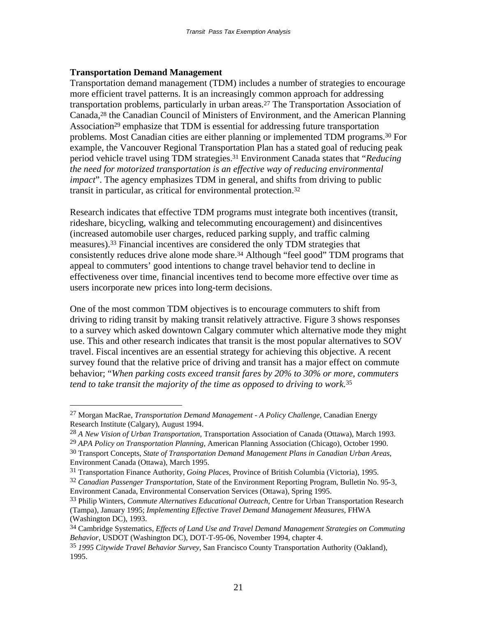#### **Transportation Demand Management**

 $\overline{a}$ 

Transportation demand management (TDM) includes a number of strategies to encourage more efficient travel patterns. It is an increasingly common approach for addressing transportation problems, particularly in urban areas.27 The Transportation Association of Canada,28 the Canadian Council of Ministers of Environment, and the American Planning Association<sup>29</sup> emphasize that TDM is essential for addressing future transportation problems. Most Canadian cities are either planning or implemented TDM programs.30 For example, the Vancouver Regional Transportation Plan has a stated goal of reducing peak period vehicle travel using TDM strategies.31 Environment Canada states that "*Reducing the need for motorized transportation is an effective way of reducing environmental impact*". The agency emphasizes TDM in general, and shifts from driving to public transit in particular, as critical for environmental protection.32

Research indicates that effective TDM programs must integrate both incentives (transit, rideshare, bicycling, walking and telecommuting encouragement) and disincentives (increased automobile user charges, reduced parking supply, and traffic calming measures).33 Financial incentives are considered the only TDM strategies that consistently reduces drive alone mode share.<sup>34</sup> Although "feel good" TDM programs that appeal to commuters' good intentions to change travel behavior tend to decline in effectiveness over time, financial incentives tend to become more effective over time as users incorporate new prices into long-term decisions.

One of the most common TDM objectives is to encourage commuters to shift from driving to riding transit by making transit relatively attractive. Figure 3 shows responses to a survey which asked downtown Calgary commuter which alternative mode they might use. This and other research indicates that transit is the most popular alternatives to SOV travel. Fiscal incentives are an essential strategy for achieving this objective. A recent survey found that the relative price of driving and transit has a major effect on commute behavior; "*When parking costs exceed transit fares by 20% to 30% or more, commuters tend to take transit the majority of the time as opposed to driving to work.*35

<sup>27</sup> Morgan MacRae, *Transportation Demand Management - A Policy Challenge*, Canadian Energy Research Institute (Calgary), August 1994.

<sup>28</sup> *A New Vision of Urban Transportation*, Transportation Association of Canada (Ottawa), March 1993.

<sup>29</sup> *APA Policy on Transportation Planning*, American Planning Association (Chicago), October 1990.

<sup>30</sup> Transport Concepts, *State of Transportation Demand Management Plans in Canadian Urban Areas*, Environment Canada (Ottawa), March 1995.

<sup>31</sup> Transportation Finance Authority, *Going Places*, Province of British Columbia (Victoria), 1995.

<sup>32</sup> *Canadian Passenger Transportation*, State of the Environment Reporting Program, Bulletin No. 95-3, Environment Canada, Environmental Conservation Services (Ottawa), Spring 1995.

<sup>33</sup> Philip Winters, *Commute Alternatives Educational Outreach*, Centre for Urban Transportation Research (Tampa), January 1995; *Implementing Effective Travel Demand Management Measures*, FHWA (Washington DC), 1993.

<sup>34</sup> Cambridge Systematics, *Effects of Land Use and Travel Demand Management Strategies on Commuting Behavior*, USDOT (Washington DC), DOT-T-95-06, November 1994, chapter 4.

<sup>35</sup> *1995 Citywide Travel Behavior Survey*, San Francisco County Transportation Authority (Oakland), 1995.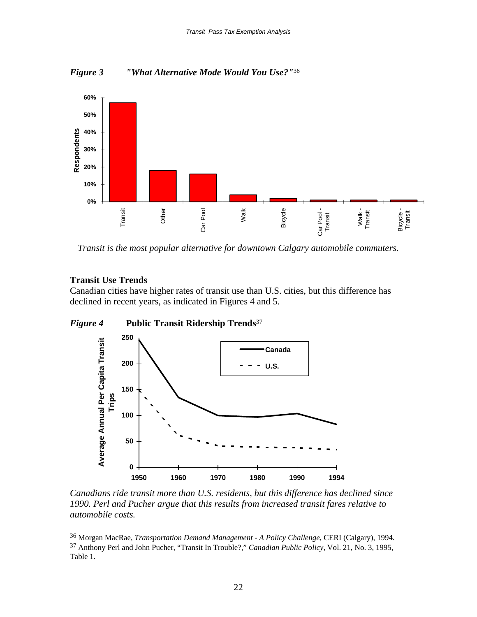



*Transit is the most popular alternative for downtown Calgary automobile commuters.* 

#### **Transit Use Trends**

 $\overline{a}$ 

Canadian cities have higher rates of transit use than U.S. cities, but this difference has declined in recent years, as indicated in Figures 4 and 5.



*Canadians ride transit more than U.S. residents, but this difference has declined since 1990. Perl and Pucher argue that this results from increased transit fares relative to automobile costs.*

<sup>36</sup> Morgan MacRae, *Transportation Demand Management - A Policy Challenge*, CERI (Calgary), 1994.

<sup>37</sup> Anthony Perl and John Pucher, "Transit In Trouble?," *Canadian Public Policy*, Vol. 21, No. 3, 1995, Table 1.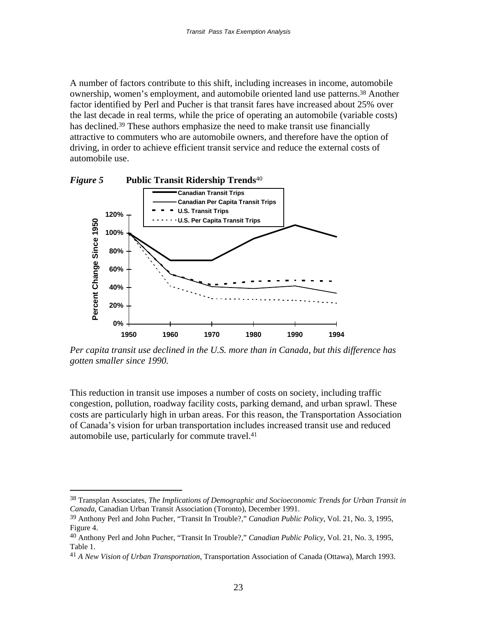A number of factors contribute to this shift, including increases in income, automobile ownership, women's employment, and automobile oriented land use patterns.38 Another factor identified by Perl and Pucher is that transit fares have increased about 25% over the last decade in real terms, while the price of operating an automobile (variable costs) has declined.<sup>39</sup> These authors emphasize the need to make transit use financially attractive to commuters who are automobile owners, and therefore have the option of driving, in order to achieve efficient transit service and reduce the external costs of automobile use.



*Per capita transit use declined in the U.S. more than in Canada, but this difference has gotten smaller since 1990.*

This reduction in transit use imposes a number of costs on society, including traffic congestion, pollution, roadway facility costs, parking demand, and urban sprawl. These costs are particularly high in urban areas. For this reason, the Transportation Association of Canada's vision for urban transportation includes increased transit use and reduced automobile use, particularly for commute travel.41

<sup>38</sup> Transplan Associates, *The Implications of Demographic and Socioeconomic Trends for Urban Transit in Canada*, Canadian Urban Transit Association (Toronto), December 1991.

<sup>39</sup> Anthony Perl and John Pucher, "Transit In Trouble?," *Canadian Public Policy*, Vol. 21, No. 3, 1995, Figure 4.

<sup>40</sup> Anthony Perl and John Pucher, "Transit In Trouble?," *Canadian Public Policy*, Vol. 21, No. 3, 1995, Table 1.

<sup>41</sup> *A New Vision of Urban Transportation*, Transportation Association of Canada (Ottawa), March 1993.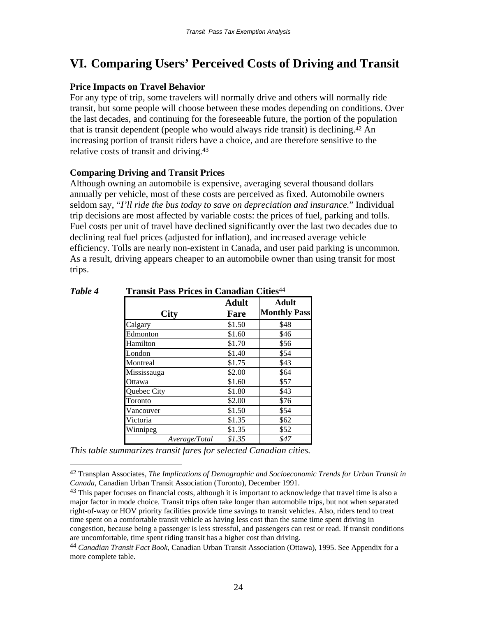# **VI. Comparing Users' Perceived Costs of Driving and Transit**

# **Price Impacts on Travel Behavior**

For any type of trip, some travelers will normally drive and others will normally ride transit, but some people will choose between these modes depending on conditions. Over the last decades, and continuing for the foreseeable future, the portion of the population that is transit dependent (people who would always ride transit) is declining.42 An increasing portion of transit riders have a choice, and are therefore sensitive to the relative costs of transit and driving.<sup>43</sup>

### **Comparing Driving and Transit Prices**

Although owning an automobile is expensive, averaging several thousand dollars annually per vehicle, most of these costs are perceived as fixed. Automobile owners seldom say, "*I'll ride the bus today to save on depreciation and insurance.*" Individual trip decisions are most affected by variable costs: the prices of fuel, parking and tolls. Fuel costs per unit of travel have declined significantly over the last two decades due to declining real fuel prices (adjusted for inflation), and increased average vehicle efficiency. Tolls are nearly non-existent in Canada, and user paid parking is uncommon. As a result, driving appears cheaper to an automobile owner than using transit for most trips.

| <b>City</b>   | <b>Adult</b><br>Fare | Adult<br><b>Monthly Pass</b> |
|---------------|----------------------|------------------------------|
| Calgary       | \$1.50               | \$48                         |
| Edmonton      | \$1.60               | \$46                         |
| Hamilton      | \$1.70               | \$56                         |
| London        | \$1.40               | \$54                         |
| Montreal      | \$1.75               | \$43                         |
| Mississauga   | \$2.00               | \$64                         |
| Ottawa        | \$1.60               | \$57                         |
| Quebec City   | \$1.80               | \$43                         |
| Toronto       | \$2.00               | \$76                         |
| Vancouver     | \$1.50               | \$54                         |
| Victoria      | \$1.35               | \$62                         |
| Winnipeg      | \$1.35               | \$52                         |
| Average/Total | \$1.35               | \$47                         |

### *Table 4* **Transit Pass Prices in Canadian Cities**<sup>44</sup>

*This table summarizes transit fares for selected Canadian cities.* 

<sup>42</sup> Transplan Associates, *The Implications of Demographic and Socioeconomic Trends for Urban Transit in Canada*, Canadian Urban Transit Association (Toronto), December 1991.

<sup>&</sup>lt;sup>43</sup> This paper focuses on financial costs, although it is important to acknowledge that travel time is also a major factor in mode choice. Transit trips often take longer than automobile trips, but not when separated right-of-way or HOV priority facilities provide time savings to transit vehicles. Also, riders tend to treat time spent on a comfortable transit vehicle as having less cost than the same time spent driving in congestion, because being a passenger is less stressful, and passengers can rest or read. If transit conditions are uncomfortable, time spent riding transit has a higher cost than driving.

<sup>44</sup> *Canadian Transit Fact Book*, Canadian Urban Transit Association (Ottawa), 1995. See Appendix for a more complete table.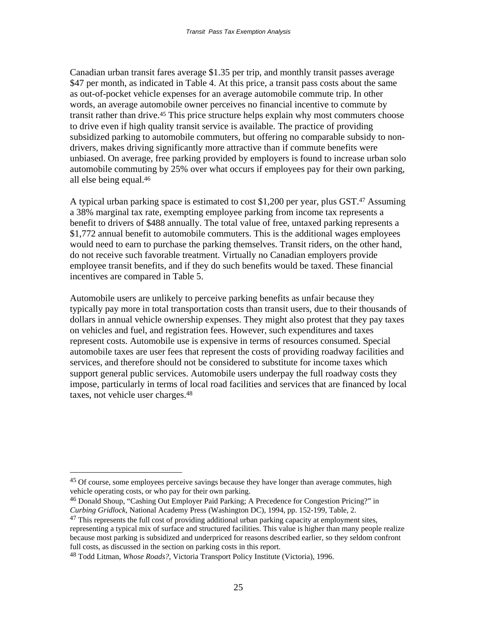Canadian urban transit fares average \$1.35 per trip, and monthly transit passes average \$47 per month, as indicated in Table 4. At this price, a transit pass costs about the same as out-of-pocket vehicle expenses for an average automobile commute trip. In other words, an average automobile owner perceives no financial incentive to commute by transit rather than drive.<sup>45</sup> This price structure helps explain why most commuters choose to drive even if high quality transit service is available. The practice of providing subsidized parking to automobile commuters, but offering no comparable subsidy to nondrivers, makes driving significantly more attractive than if commute benefits were unbiased. On average, free parking provided by employers is found to increase urban solo automobile commuting by 25% over what occurs if employees pay for their own parking, all else being equal.46

A typical urban parking space is estimated to cost \$1,200 per year, plus GST.47 Assuming a 38% marginal tax rate, exempting employee parking from income tax represents a benefit to drivers of \$488 annually. The total value of free, untaxed parking represents a \$1,772 annual benefit to automobile commuters. This is the additional wages employees would need to earn to purchase the parking themselves. Transit riders, on the other hand, do not receive such favorable treatment. Virtually no Canadian employers provide employee transit benefits, and if they do such benefits would be taxed. These financial incentives are compared in Table 5.

Automobile users are unlikely to perceive parking benefits as unfair because they typically pay more in total transportation costs than transit users, due to their thousands of dollars in annual vehicle ownership expenses. They might also protest that they pay taxes on vehicles and fuel, and registration fees. However, such expenditures and taxes represent costs. Automobile use is expensive in terms of resources consumed. Special automobile taxes are user fees that represent the costs of providing roadway facilities and services, and therefore should not be considered to substitute for income taxes which support general public services. Automobile users underpay the full roadway costs they impose, particularly in terms of local road facilities and services that are financed by local taxes, not vehicle user charges.48

<sup>&</sup>lt;sup>45</sup> Of course, some employees perceive savings because they have longer than average commutes, high vehicle operating costs, or who pay for their own parking.

<sup>&</sup>lt;sup>46</sup> Donald Shoup, "Cashing Out Employer Paid Parking; A Precedence for Congestion Pricing?" in *Curbing Gridlock*, National Academy Press (Washington DC), 1994, pp. 152-199, Table, 2.

 $47$  This represents the full cost of providing additional urban parking capacity at employment sites, representing a typical mix of surface and structured facilities. This value is higher than many people realize because most parking is subsidized and underpriced for reasons described earlier, so they seldom confront full costs, as discussed in the section on parking costs in this report.

<sup>48</sup> Todd Litman, *Whose Roads?*, Victoria Transport Policy Institute (Victoria), 1996.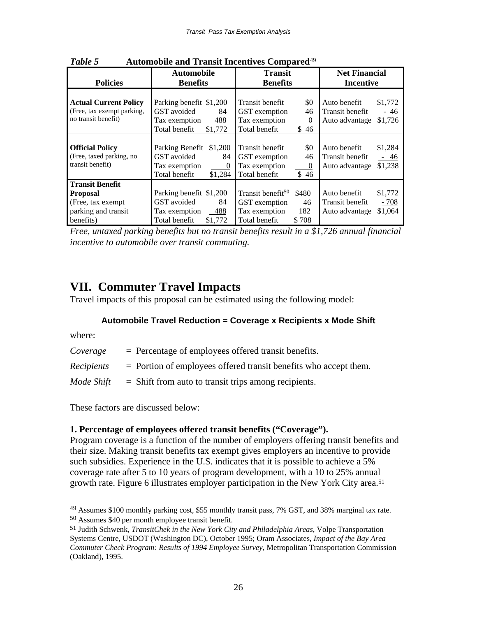| <b>Policies</b>                                                                                     | <b>Automobile</b><br><b>Benefits</b>                                                                        | <b>Transit</b><br><b>Benefits</b>                                                                                  | <b>Net Financial</b><br><b>Incentive</b>                                          |  |
|-----------------------------------------------------------------------------------------------------|-------------------------------------------------------------------------------------------------------------|--------------------------------------------------------------------------------------------------------------------|-----------------------------------------------------------------------------------|--|
| <b>Actual Current Policy</b><br>(Free, tax exempt parking,<br>no transit benefit)                   | Parking benefit \$1,200<br>GST avoided<br>84<br>Tax exemption<br>488<br>Total benefit<br>\$1,772            | Transit benefit<br>\$0<br>46<br>GST exemption<br>Tax exemption<br>$\boldsymbol{0}$<br>Total benefit<br>\$46        | Auto benefit<br>\$1,772<br>Transit benefit<br>$-46$<br>\$1,726<br>Auto advantage  |  |
| <b>Official Policy</b><br>(Free, taxed parking, no<br>transit benefit)                              | Parking Benefit \$1,200<br>GST avoided<br>84<br>Tax exemption<br>$\overline{0}$<br>Total benefit<br>\$1,284 | Transit benefit<br>\$0<br>46<br>GST exemption<br>Tax exemption<br>$\overline{0}$<br>\$46<br>Total benefit          | Auto benefit<br>\$1,284<br>Transit benefit<br>$-46$<br>\$1,238<br>Auto advantage  |  |
| <b>Transit Benefit</b><br><b>Proposal</b><br>(Free, tax exempt)<br>parking and transit<br>benefits) | Parking benefit \$1,200<br>GST avoided<br>84<br>$-488$<br>Tax exemption<br>Total benefit<br>\$1,772         | Transit benefit <sup>50</sup><br>\$480<br>46<br>GST exemption<br>Tax exemption<br>$-182$<br>Total benefit<br>\$708 | Auto benefit<br>\$1,772<br>Transit benefit<br>$-708$<br>\$1,064<br>Auto advantage |  |

*Table 5* **Automobile and Transit Incentives Compared**<sup>49</sup>

*Free, untaxed parking benefits but no transit benefits result in a \$1,726 annual financial incentive to automobile over transit commuting.*

# **VII. Commuter Travel Impacts**

Travel impacts of this proposal can be estimated using the following model:

#### **Automobile Travel Reduction = Coverage x Recipients x Mode Shift**

where:

 $\overline{a}$ 

| Coverage   | $=$ Percentage of employees offered transit benefits.              |
|------------|--------------------------------------------------------------------|
| Recipients | $=$ Portion of employees offered transit benefits who accept them. |
| Mode Shift | $=$ Shift from auto to transit trips among recipients.             |

These factors are discussed below:

#### **1. Percentage of employees offered transit benefits ("Coverage").**

Program coverage is a function of the number of employers offering transit benefits and their size. Making transit benefits tax exempt gives employers an incentive to provide such subsidies. Experience in the U.S. indicates that it is possible to achieve a 5% coverage rate after 5 to 10 years of program development, with a 10 to 25% annual growth rate. Figure 6 illustrates employer participation in the New York City area.51

<sup>49</sup> Assumes \$100 monthly parking cost, \$55 monthly transit pass, 7% GST, and 38% marginal tax rate.

<sup>50</sup> Assumes \$40 per month employee transit benefit.

<sup>51</sup> Judith Schwenk, *TransitChek in the New York City and Philadelphia Areas*, Volpe Transportation Systems Centre, USDOT (Washington DC), October 1995; Oram Associates, *Impact of the Bay Area Commuter Check Program: Results of 1994 Employee Survey*, Metropolitan Transportation Commission (Oakland), 1995.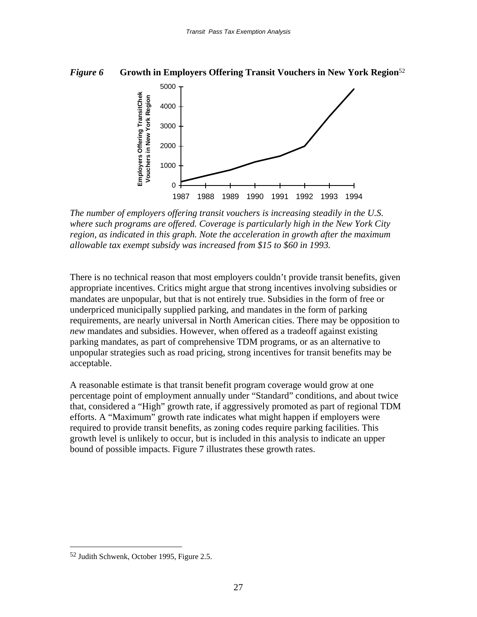#### *Figure 6* **Growth in Employers Offering Transit Vouchers in New York Region**<sup>52</sup>



*The number of employers offering transit vouchers is increasing steadily in the U.S. where such programs are offered. Coverage is particularly high in the New York City region, as indicated in this graph. Note the acceleration in growth after the maximum allowable tax exempt subsidy was increased from \$15 to \$60 in 1993.*

There is no technical reason that most employers couldn't provide transit benefits, given appropriate incentives. Critics might argue that strong incentives involving subsidies or mandates are unpopular, but that is not entirely true. Subsidies in the form of free or underpriced municipally supplied parking, and mandates in the form of parking requirements, are nearly universal in North American cities. There may be opposition to *new* mandates and subsidies. However, when offered as a tradeoff against existing parking mandates, as part of comprehensive TDM programs, or as an alternative to unpopular strategies such as road pricing, strong incentives for transit benefits may be acceptable.

A reasonable estimate is that transit benefit program coverage would grow at one percentage point of employment annually under "Standard" conditions, and about twice that, considered a "High" growth rate, if aggressively promoted as part of regional TDM efforts. A "Maximum" growth rate indicates what might happen if employers were required to provide transit benefits, as zoning codes require parking facilities. This growth level is unlikely to occur, but is included in this analysis to indicate an upper bound of possible impacts. Figure 7 illustrates these growth rates.

<sup>52</sup> Judith Schwenk, October 1995, Figure 2.5.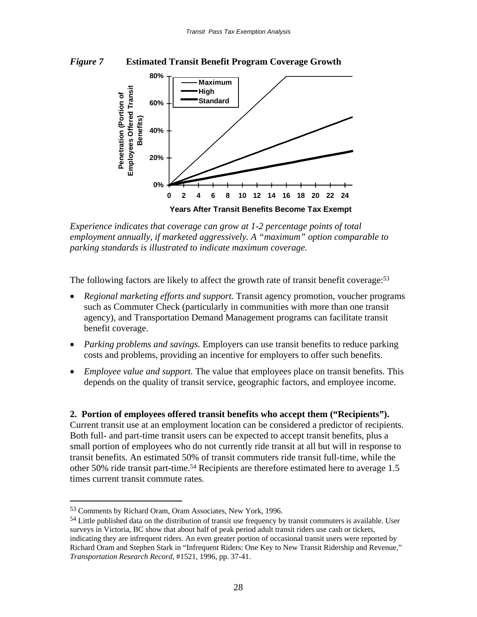



*Experience indicates that coverage can grow at 1-2 percentage points of total employment annually, if marketed aggressively. A "maximum" option comparable to parking standards is illustrated to indicate maximum coverage.* 

The following factors are likely to affect the growth rate of transit benefit coverage:<sup>53</sup>

- *Regional marketing efforts and support.* Transit agency promotion, voucher programs such as Commuter Check (particularly in communities with more than one transit agency), and Transportation Demand Management programs can facilitate transit benefit coverage.
- *Parking problems and savings.* Employers can use transit benefits to reduce parking costs and problems, providing an incentive for employers to offer such benefits.
- *Employee value and support.* The value that employees place on transit benefits. This depends on the quality of transit service, geographic factors, and employee income.

# **2. Portion of employees offered transit benefits who accept them ("Recipients").**

Current transit use at an employment location can be considered a predictor of recipients. Both full- and part-time transit users can be expected to accept transit benefits, plus a small portion of employees who do not currently ride transit at all but will in response to transit benefits. An estimated 50% of transit commuters ride transit full-time, while the other 50% ride transit part-time.54 Recipients are therefore estimated here to average 1.5 times current transit commute rates.

<sup>53</sup> Comments by Richard Oram, Oram Associates, New York, 1996.

<sup>54</sup> Little published data on the distribution of transit use frequency by transit commuters is available. User surveys in Victoria, BC show that about half of peak period adult transit riders use cash or tickets, indicating they are infrequent riders. An even greater portion of occasional transit users were reported by Richard Oram and Stephen Stark in "Infrequent Riders: One Key to New Transit Ridership and Revenue," *Transportation Research Record*, #1521, 1996, pp. 37-41.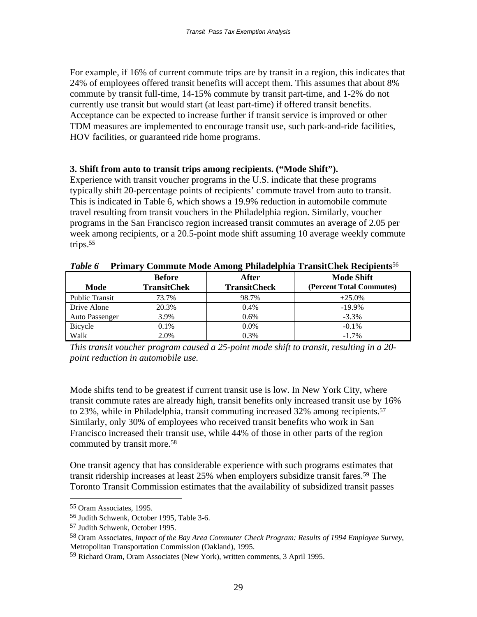For example, if 16% of current commute trips are by transit in a region, this indicates that 24% of employees offered transit benefits will accept them. This assumes that about 8% commute by transit full-time, 14-15% commute by transit part-time, and 1-2% do not currently use transit but would start (at least part-time) if offered transit benefits. Acceptance can be expected to increase further if transit service is improved or other TDM measures are implemented to encourage transit use, such park-and-ride facilities, HOV facilities, or guaranteed ride home programs.

### **3. Shift from auto to transit trips among recipients. ("Mode Shift").**

Experience with transit voucher programs in the U.S. indicate that these programs typically shift 20-percentage points of recipients' commute travel from auto to transit. This is indicated in Table 6, which shows a 19.9% reduction in automobile commute travel resulting from transit vouchers in the Philadelphia region. Similarly, voucher programs in the San Francisco region increased transit commutes an average of 2.05 per week among recipients, or a 20.5-point mode shift assuming 10 average weekly commute trips.55

|                       |                                     | $\overline{\phantom{a}}$            |                                               |
|-----------------------|-------------------------------------|-------------------------------------|-----------------------------------------------|
| Mode                  | <b>Before</b><br><b>TransitChek</b> | <b>After</b><br><b>TransitCheck</b> | <b>Mode Shift</b><br>(Percent Total Commutes) |
|                       |                                     |                                     |                                               |
| <b>Public Transit</b> | 73.7%                               | 98.7%                               | $+25.0%$                                      |
| Drive Alone           | 20.3%                               | 0.4%                                | $-19.9\%$                                     |
| Auto Passenger        | 3.9%                                | $0.6\%$                             | $-3.3\%$                                      |
| Bicycle               | 0.1%                                | $0.0\%$                             | $-0.1\%$                                      |
| Walk                  | 2.0%                                | 0.3%                                | $-1.7\%$                                      |

*Table 6* **Primary Commute Mode Among Philadelphia TransitChek Recipients**<sup>56</sup>

*This transit voucher program caused a 25-point mode shift to transit, resulting in a 20 point reduction in automobile use.* 

Mode shifts tend to be greatest if current transit use is low. In New York City, where transit commute rates are already high, transit benefits only increased transit use by 16% to 23%, while in Philadelphia, transit commuting increased 32% among recipients.<sup>57</sup> Similarly, only 30% of employees who received transit benefits who work in San Francisco increased their transit use, while 44% of those in other parts of the region commuted by transit more.58

One transit agency that has considerable experience with such programs estimates that transit ridership increases at least 25% when employers subsidize transit fares.59 The Toronto Transit Commission estimates that the availability of subsidized transit passes

<sup>55</sup> Oram Associates, 1995.

<sup>56</sup> Judith Schwenk, October 1995, Table 3-6.

<sup>57</sup> Judith Schwenk, October 1995.

<sup>58</sup> Oram Associates, *Impact of the Bay Area Commuter Check Program: Results of 1994 Employee Survey*, Metropolitan Transportation Commission (Oakland), 1995.

<sup>59</sup> Richard Oram, Oram Associates (New York), written comments, 3 April 1995.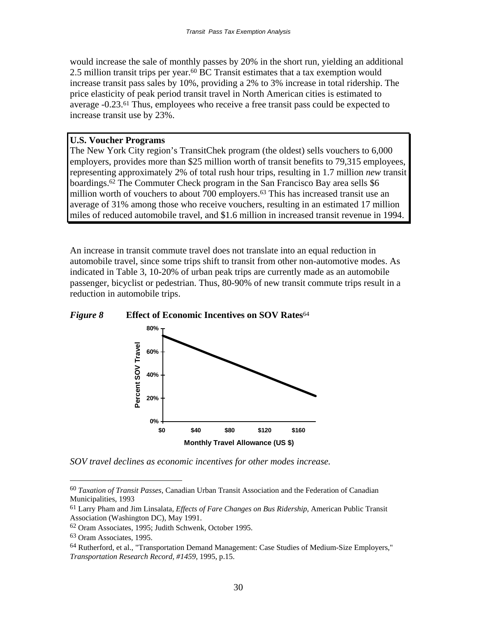would increase the sale of monthly passes by 20% in the short run, yielding an additional 2.5 million transit trips per year.<sup>60</sup> BC Transit estimates that a tax exemption would increase transit pass sales by 10%, providing a 2% to 3% increase in total ridership. The price elasticity of peak period transit travel in North American cities is estimated to average -0.23.61 Thus, employees who receive a free transit pass could be expected to increase transit use by 23%.

#### **U.S. Voucher Programs**

The New York City region's TransitChek program (the oldest) sells vouchers to 6,000 employers, provides more than \$25 million worth of transit benefits to 79,315 employees, representing approximately 2% of total rush hour trips, resulting in 1.7 million *new* transit boardings.62 The Commuter Check program in the San Francisco Bay area sells \$6 million worth of vouchers to about 700 employers.<sup>63</sup> This has increased transit use an average of 31% among those who receive vouchers, resulting in an estimated 17 million miles of reduced automobile travel, and \$1.6 million in increased transit revenue in 1994.

An increase in transit commute travel does not translate into an equal reduction in automobile travel, since some trips shift to transit from other non-automotive modes. As indicated in Table 3, 10-20% of urban peak trips are currently made as an automobile passenger, bicyclist or pedestrian. Thus, 80-90% of new transit commute trips result in a reduction in automobile trips.





*SOV travel declines as economic incentives for other modes increase.*

<sup>60</sup> *Taxation of Transit Passes*, Canadian Urban Transit Association and the Federation of Canadian Municipalities, 1993

<sup>61</sup> Larry Pham and Jim Linsalata, *Effects of Fare Changes on Bus Ridership*, American Public Transit Association (Washington DC), May 1991.

<sup>62</sup> Oram Associates, 1995; Judith Schwenk, October 1995.

<sup>63</sup> Oram Associates, 1995.

<sup>64</sup> Rutherford, et al., "Transportation Demand Management: Case Studies of Medium-Size Employers," *Transportation Research Record, #1459*, 1995, p.15.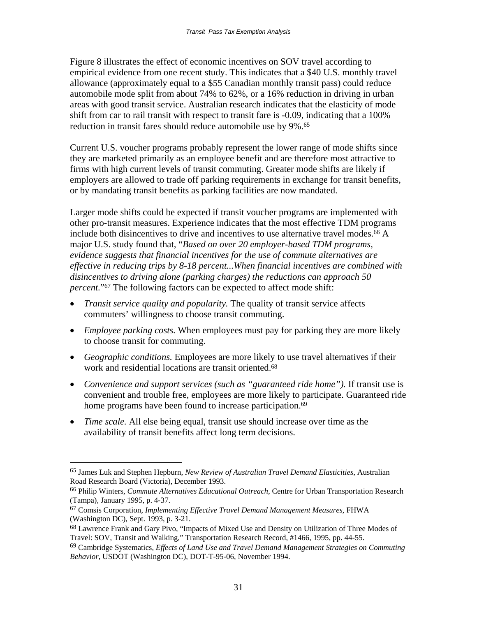Figure 8 illustrates the effect of economic incentives on SOV travel according to empirical evidence from one recent study. This indicates that a \$40 U.S. monthly travel allowance (approximately equal to a \$55 Canadian monthly transit pass) could reduce automobile mode split from about 74% to 62%, or a 16% reduction in driving in urban areas with good transit service. Australian research indicates that the elasticity of mode shift from car to rail transit with respect to transit fare is -0.09, indicating that a 100% reduction in transit fares should reduce automobile use by 9%.<sup>65</sup>

Current U.S. voucher programs probably represent the lower range of mode shifts since they are marketed primarily as an employee benefit and are therefore most attractive to firms with high current levels of transit commuting. Greater mode shifts are likely if employers are allowed to trade off parking requirements in exchange for transit benefits, or by mandating transit benefits as parking facilities are now mandated.

Larger mode shifts could be expected if transit voucher programs are implemented with other pro-transit measures. Experience indicates that the most effective TDM programs include both disincentives to drive and incentives to use alternative travel modes.<sup>66</sup> A major U.S. study found that, "*Based on over 20 employer-based TDM programs, evidence suggests that financial incentives for the use of commute alternatives are effective in reducing trips by 8-18 percent...When financial incentives are combined with disincentives to driving alone (parking charges) the reductions can approach 50 percent.*"67 The following factors can be expected to affect mode shift:

- *Transit service quality and popularity.* The quality of transit service affects commuters' willingness to choose transit commuting.
- *Employee parking costs.* When employees must pay for parking they are more likely to choose transit for commuting.
- *Geographic conditions.* Employees are more likely to use travel alternatives if their work and residential locations are transit oriented.68
- *Convenience and support services (such as "guaranteed ride home").* If transit use is convenient and trouble free, employees are more likely to participate. Guaranteed ride home programs have been found to increase participation.<sup>69</sup>
- *Time scale.* All else being equal, transit use should increase over time as the availability of transit benefits affect long term decisions.

<sup>65</sup> James Luk and Stephen Hepburn, *New Review of Australian Travel Demand Elasticities*, Australian Road Research Board (Victoria), December 1993.

<sup>66</sup> Philip Winters, *Commute Alternatives Educational Outreach*, Centre for Urban Transportation Research (Tampa), January 1995, p. 4-37.

<sup>67</sup> Comsis Corporation, *Implementing Effective Travel Demand Management Measures*, FHWA (Washington DC), Sept. 1993, p. 3-21.

<sup>68</sup> Lawrence Frank and Gary Pivo, "Impacts of Mixed Use and Density on Utilization of Three Modes of Travel: SOV, Transit and Walking," Transportation Research Record, #1466, 1995, pp. 44-55.

<sup>69</sup> Cambridge Systematics, *Effects of Land Use and Travel Demand Management Strategies on Commuting Behavior*, USDOT (Washington DC), DOT-T-95-06, November 1994.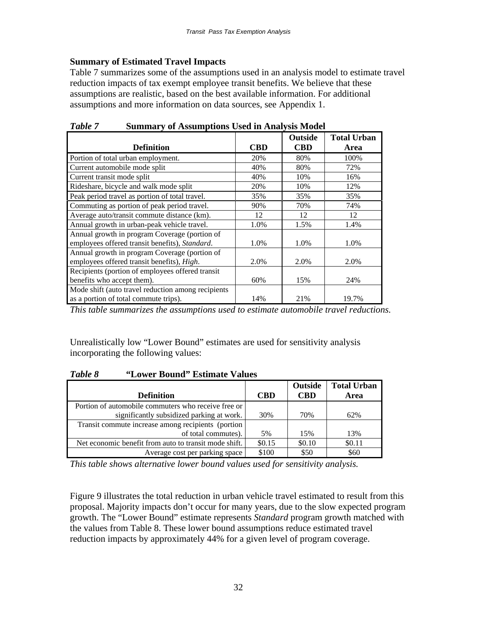# **Summary of Estimated Travel Impacts**

Table 7 summarizes some of the assumptions used in an analysis model to estimate travel reduction impacts of tax exempt employee transit benefits. We believe that these assumptions are realistic, based on the best available information. For additional assumptions and more information on data sources, see Appendix 1.

|                                                                                                 |            | <b>Outside</b> | <b>Total Urban</b> |
|-------------------------------------------------------------------------------------------------|------------|----------------|--------------------|
| <b>Definition</b>                                                                               | <b>CBD</b> | <b>CBD</b>     | Area               |
| Portion of total urban employment.                                                              | 20%        | 80%            | 100%               |
| Current automobile mode split                                                                   | 40%        | 80%            | 72%                |
| Current transit mode split                                                                      | 40%        | 10%            | 16%                |
| Rideshare, bicycle and walk mode split                                                          | 20%        | 10%            | 12%                |
| Peak period travel as portion of total travel.                                                  | 35%        | 35%            | 35%                |
| Commuting as portion of peak period travel.                                                     | 90%        | 70%            | 74%                |
| Average auto/transit commute distance (km).                                                     | 12         | 12             | 12                 |
| Annual growth in urban-peak vehicle travel.                                                     | 1.0%       | 1.5%           | 1.4%               |
| Annual growth in program Coverage (portion of<br>employees offered transit benefits), Standard. | 1.0%       | 1.0%           | 1.0%               |
| Annual growth in program Coverage (portion of                                                   |            |                |                    |
| employees offered transit benefits), High.                                                      | 2.0%       | 2.0%           | 2.0%               |
| Recipients (portion of employees offered transit                                                |            |                |                    |
| benefits who accept them).                                                                      | 60%        | 15%            | 24%                |
| Mode shift (auto travel reduction among recipients                                              |            |                |                    |
| as a portion of total commute trips).                                                           | 14%        | 21%            | 19.7%              |

*Table 7* **Summary of Assumptions Used in Analysis Model** 

*This table summarizes the assumptions used to estimate automobile travel reductions.* 

Unrealistically low "Lower Bound" estimates are used for sensitivity analysis incorporating the following values:

# *Table 8* **"Lower Bound" Estimate Values**

|                                                       |            | <b>Outside</b> | <b>Total Urban</b> |
|-------------------------------------------------------|------------|----------------|--------------------|
| <b>Definition</b>                                     | <b>CBD</b> | <b>CBD</b>     | Area               |
| Portion of automobile commuters who receive free or   |            |                |                    |
| significantly subsidized parking at work.             | 30%        | 70%            | 62%                |
| Transit commute increase among recipients (portion    |            |                |                    |
| of total commutes).                                   | 5%         | 15%            | 13%                |
| Net economic benefit from auto to transit mode shift. | \$0.15     | \$0.10         | \$0.11             |
| Average cost per parking space                        | \$100      | \$50           | \$60               |

*This table shows alternative lower bound values used for sensitivity analysis.* 

Figure 9 illustrates the total reduction in urban vehicle travel estimated to result from this proposal. Majority impacts don't occur for many years, due to the slow expected program growth. The "Lower Bound" estimate represents *Standard* program growth matched with the values from Table 8. These lower bound assumptions reduce estimated travel reduction impacts by approximately 44% for a given level of program coverage.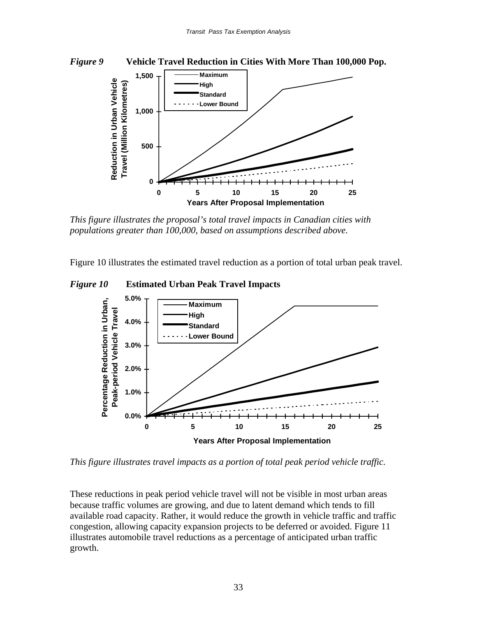

*This figure illustrates the proposal's total travel impacts in Canadian cities with populations greater than 100,000, based on assumptions described above.* 

Figure 10 illustrates the estimated travel reduction as a portion of total urban peak travel.





*This figure illustrates travel impacts as a portion of total peak period vehicle traffic.* 

These reductions in peak period vehicle travel will not be visible in most urban areas because traffic volumes are growing, and due to latent demand which tends to fill available road capacity. Rather, it would reduce the growth in vehicle traffic and traffic congestion, allowing capacity expansion projects to be deferred or avoided. Figure 11 illustrates automobile travel reductions as a percentage of anticipated urban traffic growth.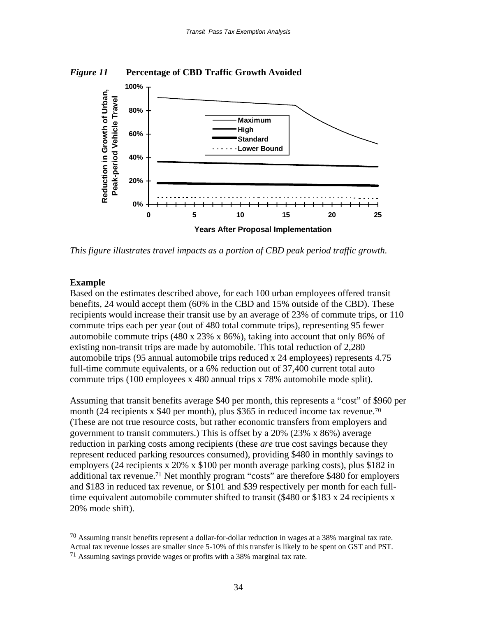



*This figure illustrates travel impacts as a portion of CBD peak period traffic growth.* 

#### **Example**

 $\overline{a}$ 

Based on the estimates described above, for each 100 urban employees offered transit benefits, 24 would accept them (60% in the CBD and 15% outside of the CBD). These recipients would increase their transit use by an average of 23% of commute trips, or 110 commute trips each per year (out of 480 total commute trips), representing 95 fewer automobile commute trips  $(480 \times 23\% \times 86\%)$ , taking into account that only 86% of existing non-transit trips are made by automobile. This total reduction of 2,280 automobile trips (95 annual automobile trips reduced x 24 employees) represents 4.75 full-time commute equivalents, or a 6% reduction out of 37,400 current total auto commute trips (100 employees x 480 annual trips x 78% automobile mode split).

Assuming that transit benefits average \$40 per month, this represents a "cost" of \$960 per month (24 recipients x \$40 per month), plus \$365 in reduced income tax revenue.<sup>70</sup> (These are not true resource costs, but rather economic transfers from employers and government to transit commuters.) This is offset by a 20% (23% x 86%) average reduction in parking costs among recipients (these *are* true cost savings because they represent reduced parking resources consumed), providing \$480 in monthly savings to employers (24 recipients x 20% x \$100 per month average parking costs), plus \$182 in additional tax revenue.71 Net monthly program "costs" are therefore \$480 for employers and \$183 in reduced tax revenue, or \$101 and \$39 respectively per month for each fulltime equivalent automobile commuter shifted to transit (\$480 or \$183 x 24 recipients x 20% mode shift).

 $70$  Assuming transit benefits represent a dollar-for-dollar reduction in wages at a 38% marginal tax rate. Actual tax revenue losses are smaller since 5-10% of this transfer is likely to be spent on GST and PST. 71 Assuming savings provide wages or profits with a 38% marginal tax rate.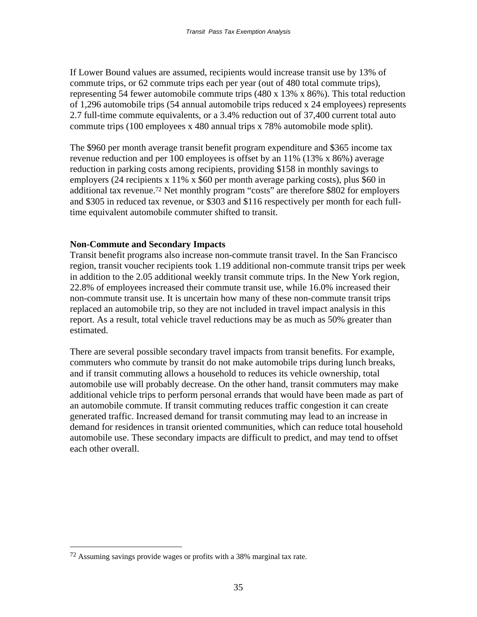If Lower Bound values are assumed, recipients would increase transit use by 13% of commute trips, or 62 commute trips each per year (out of 480 total commute trips), representing 54 fewer automobile commute trips (480 x 13% x 86%). This total reduction of 1,296 automobile trips (54 annual automobile trips reduced x 24 employees) represents 2.7 full-time commute equivalents, or a 3.4% reduction out of 37,400 current total auto commute trips (100 employees x 480 annual trips x 78% automobile mode split).

The \$960 per month average transit benefit program expenditure and \$365 income tax revenue reduction and per 100 employees is offset by an 11% (13% x 86%) average reduction in parking costs among recipients, providing \$158 in monthly savings to employers (24 recipients x 11% x \$60 per month average parking costs), plus \$60 in additional tax revenue.72 Net monthly program "costs" are therefore \$802 for employers and \$305 in reduced tax revenue, or \$303 and \$116 respectively per month for each fulltime equivalent automobile commuter shifted to transit.

# **Non-Commute and Secondary Impacts**

Transit benefit programs also increase non-commute transit travel. In the San Francisco region, transit voucher recipients took 1.19 additional non-commute transit trips per week in addition to the 2.05 additional weekly transit commute trips. In the New York region, 22.8% of employees increased their commute transit use, while 16.0% increased their non-commute transit use. It is uncertain how many of these non-commute transit trips replaced an automobile trip, so they are not included in travel impact analysis in this report. As a result, total vehicle travel reductions may be as much as 50% greater than estimated.

There are several possible secondary travel impacts from transit benefits. For example, commuters who commute by transit do not make automobile trips during lunch breaks, and if transit commuting allows a household to reduces its vehicle ownership, total automobile use will probably decrease. On the other hand, transit commuters may make additional vehicle trips to perform personal errands that would have been made as part of an automobile commute. If transit commuting reduces traffic congestion it can create generated traffic. Increased demand for transit commuting may lead to an increase in demand for residences in transit oriented communities, which can reduce total household automobile use. These secondary impacts are difficult to predict, and may tend to offset each other overall.

<sup>72</sup> Assuming savings provide wages or profits with a 38% marginal tax rate.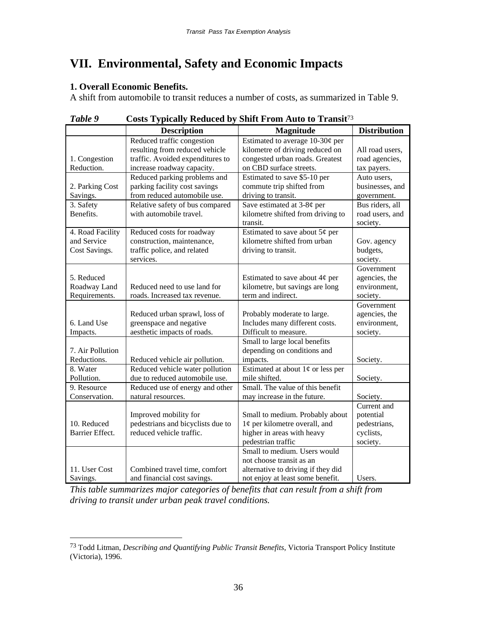# **VII. Environmental, Safety and Economic Impacts**

### **1. Overall Economic Benefits.**

 $\overline{a}$ 

A shift from automobile to transit reduces a number of costs, as summarized in Table 9.

| 1 uvvc           | costs турісану коласса бу бінн гтоні тапо со ттанзі |                                      |                     |  |
|------------------|-----------------------------------------------------|--------------------------------------|---------------------|--|
|                  | <b>Description</b>                                  | Magnitude                            | <b>Distribution</b> |  |
|                  | Reduced traffic congestion                          | Estimated to average $10-30\phi$ per |                     |  |
|                  | resulting from reduced vehicle                      | kilometre of driving reduced on      | All road users,     |  |
| 1. Congestion    | traffic. Avoided expenditures to                    | congested urban roads. Greatest      | road agencies,      |  |
| Reduction.       | increase roadway capacity.                          | on CBD surface streets.              | tax payers.         |  |
|                  | Reduced parking problems and                        | Estimated to save \$5-10 per         | Auto users,         |  |
| 2. Parking Cost  | parking facility cost savings                       | commute trip shifted from            | businesses, and     |  |
| Savings.         | from reduced automobile use.                        | driving to transit.                  | government.         |  |
| 3. Safety        | Relative safety of bus compared                     | Save estimated at $3-8¢$ per         | Bus riders, all     |  |
| Benefits.        | with automobile travel.                             | kilometre shifted from driving to    | road users, and     |  |
|                  |                                                     | transit.                             | society.            |  |
| 4. Road Facility | Reduced costs for roadway                           | Estimated to save about $5¢$ per     |                     |  |
| and Service      | construction, maintenance,                          | kilometre shifted from urban         | Gov. agency         |  |
| Cost Savings.    | traffic police, and related                         | driving to transit.                  | budgets,            |  |
|                  | services.                                           |                                      | society.            |  |
|                  |                                                     |                                      | Government          |  |
| 5. Reduced       |                                                     | Estimated to save about $4¢$ per     | agencies, the       |  |
| Roadway Land     | Reduced need to use land for                        | kilometre, but savings are long      | environment,        |  |
| Requirements.    | roads. Increased tax revenue.                       | term and indirect.                   | society.            |  |
|                  |                                                     |                                      | Government          |  |
|                  | Reduced urban sprawl, loss of                       | Probably moderate to large.          | agencies, the       |  |
| 6. Land Use      | greenspace and negative                             | Includes many different costs.       | environment,        |  |
| Impacts.         | aesthetic impacts of roads.                         | Difficult to measure.                | society.            |  |
|                  |                                                     | Small to large local benefits        |                     |  |
| 7. Air Pollution |                                                     | depending on conditions and          |                     |  |
| Reductions.      | Reduced vehicle air pollution.                      | impacts.                             | Society.            |  |
| 8. Water         | Reduced vehicle water pollution                     | Estimated at about $1¢$ or less per  |                     |  |
| Pollution.       | due to reduced automobile use.                      | mile shifted.                        | Society.            |  |
| 9. Resource      | Reduced use of energy and other                     | Small. The value of this benefit     |                     |  |
| Conservation.    | natural resources.                                  | may increase in the future.          | Society.            |  |
|                  |                                                     |                                      | Current and         |  |
|                  | Improved mobility for                               | Small to medium. Probably about      | potential           |  |
| 10. Reduced      | pedestrians and bicyclists due to                   | $1¢$ per kilometre overall, and      | pedestrians,        |  |
| Barrier Effect.  | reduced vehicle traffic.                            | higher in areas with heavy           | cyclists,           |  |
|                  |                                                     | pedestrian traffic                   | society.            |  |
|                  |                                                     | Small to medium. Users would         |                     |  |
|                  |                                                     | not choose transit as an             |                     |  |
| 11. User Cost    | Combined travel time, comfort                       | alternative to driving if they did   |                     |  |
| Savings.         | and financial cost savings.                         | not enjoy at least some benefit.     | Users.              |  |

*Table 9* **Costs Typically Reduced by Shift From Auto to Transit**<sup>73</sup>

*This table summarizes major categories of benefits that can result from a shift from driving to transit under urban peak travel conditions.*

<sup>73</sup> Todd Litman, *Describing and Quantifying Public Transit Benefits*, Victoria Transport Policy Institute (Victoria), 1996.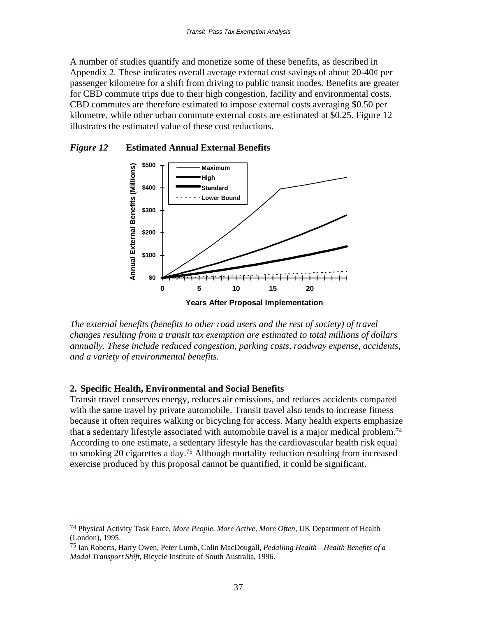A number of studies quantify and monetize some of these benefits, as described in Appendix 2. These indicates overall average external cost savings of about 20-40¢ per passenger kilometre for a shift from driving to public transit modes. Benefits are greater for CBD commute trips due to their high congestion, facility and environmental costs. CBD commutes are therefore estimated to impose external costs averaging \$0.50 per kilometre, while other urban commute external costs are estimated at \$0.25. Figure 12 illustrates the estimated value of these cost reductions.

### *Figure 12* **Estimated Annual External Benefits**



*The external benefits (benefits to other road users and the rest of society) of travel changes resulting from a transit tax exemption are estimated to total millions of dollars annually. These include reduced congestion, parking costs, roadway expense, accidents, and a variety of environmental benefits.*

# **2. Specific Health, Environmental and Social Benefits**

 $\overline{a}$ 

Transit travel conserves energy, reduces air emissions, and reduces accidents compared with the same travel by private automobile. Transit travel also tends to increase fitness because it often requires walking or bicycling for access. Many health experts emphasize that a sedentary lifestyle associated with automobile travel is a major medical problem.74 According to one estimate, a sedentary lifestyle has the cardiovascular health risk equal to smoking 20 cigarettes a day.75 Although mortality reduction resulting from increased exercise produced by this proposal cannot be quantified, it could be significant.

<sup>74</sup> Physical Activity Task Force, *More People, More Active, More Often*, UK Department of Health (London), 1995.

<sup>75</sup> Ian Roberts, Harry Owen, Peter Lumb, Colin MacDougall, *Pedalling Health—Health Benefits of a Modal Transport Shift*, Bicycle Institute of South Australia, 1996.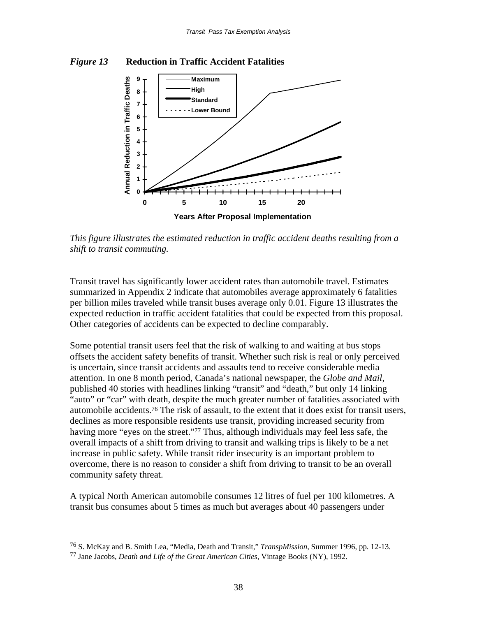### *Figure 13* **Reduction in Traffic Accident Fatalities**



*This figure illustrates the estimated reduction in traffic accident deaths resulting from a shift to transit commuting.*

Transit travel has significantly lower accident rates than automobile travel. Estimates summarized in Appendix 2 indicate that automobiles average approximately 6 fatalities per billion miles traveled while transit buses average only 0.01. Figure 13 illustrates the expected reduction in traffic accident fatalities that could be expected from this proposal. Other categories of accidents can be expected to decline comparably.

Some potential transit users feel that the risk of walking to and waiting at bus stops offsets the accident safety benefits of transit. Whether such risk is real or only perceived is uncertain, since transit accidents and assaults tend to receive considerable media attention. In one 8 month period, Canada's national newspaper, the *Globe and Mail*, published 40 stories with headlines linking "transit" and "death," but only 14 linking "auto" or "car" with death, despite the much greater number of fatalities associated with automobile accidents.76 The risk of assault, to the extent that it does exist for transit users, declines as more responsible residents use transit, providing increased security from having more "eyes on the street."<sup>77</sup> Thus, although individuals may feel less safe, the overall impacts of a shift from driving to transit and walking trips is likely to be a net increase in public safety. While transit rider insecurity is an important problem to overcome, there is no reason to consider a shift from driving to transit to be an overall community safety threat.

A typical North American automobile consumes 12 litres of fuel per 100 kilometres. A transit bus consumes about 5 times as much but averages about 40 passengers under

<sup>76</sup> S. McKay and B. Smith Lea, "Media, Death and Transit," *TranspMission*, Summer 1996, pp. 12-13.

<sup>77</sup> Jane Jacobs, *Death and Life of the Great American Cities*, Vintage Books (NY), 1992.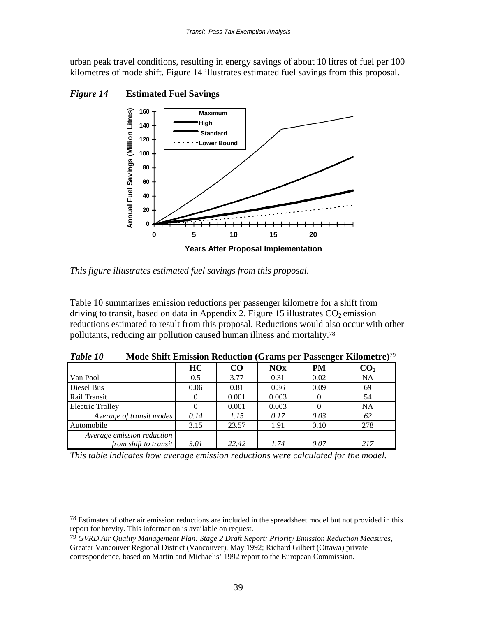urban peak travel conditions, resulting in energy savings of about 10 litres of fuel per 100 kilometres of mode shift. Figure 14 illustrates estimated fuel savings from this proposal.



*Figure 14* **Estimated Fuel Savings**

 $\overline{a}$ 

*This figure illustrates estimated fuel savings from this proposal.*

Table 10 summarizes emission reductions per passenger kilometre for a shift from driving to transit, based on data in Appendix 2. Figure 15 illustrates  $CO<sub>2</sub>$  emission reductions estimated to result from this proposal. Reductions would also occur with other pollutants, reducing air pollution caused human illness and mortality.78

|                            |      |       |            | - 0       |                 |
|----------------------------|------|-------|------------|-----------|-----------------|
|                            | HC   | CO    | <b>NOx</b> | <b>PM</b> | CO <sub>2</sub> |
| Van Pool                   | 0.5  | 3.77  | 0.31       | 0.02      | <b>NA</b>       |
| Diesel Bus                 | 0.06 | 0.81  | 0.36       | 0.09      | 69              |
| Rail Transit               |      | 0.001 | 0.003      |           | 54              |
| <b>Electric Trolley</b>    |      | 0.001 | 0.003      |           | <b>NA</b>       |
| Average of transit modes   | 0.14 | 1.15  | 0.17       | 0.03      | 62              |
| Automobile                 | 3.15 | 23.57 | 1.91       | 0.10      | 278             |
| Average emission reduction |      |       |            |           |                 |
| from shift to transit      | 3.01 | 22.42 | 1.74       | 0.07      | 217             |

*Table 10* **Mode Shift Emission Reduction (Grams per Passenger Kilometre)**<sup>79</sup>

*This table indicates how average emission reductions were calculated for the model.*

<sup>&</sup>lt;sup>78</sup> Estimates of other air emission reductions are included in the spreadsheet model but not provided in this report for brevity. This information is available on request.

<sup>79</sup> *GVRD Air Quality Management Plan: Stage 2 Draft Report: Priority Emission Reduction Measures*, Greater Vancouver Regional District (Vancouver), May 1992; Richard Gilbert (Ottawa) private correspondence, based on Martin and Michaelis' 1992 report to the European Commission.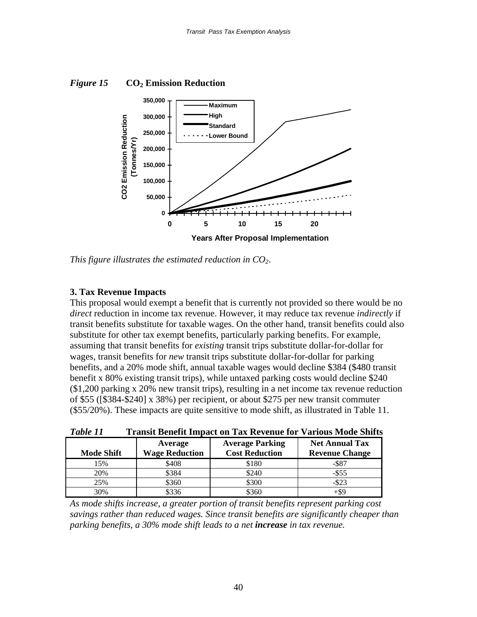*Figure 15* **CO2 Emission Reduction**



*This figure illustrates the estimated reduction in CO2*.

# **3. Tax Revenue Impacts**

This proposal would exempt a benefit that is currently not provided so there would be no *direct* reduction in income tax revenue. However, it may reduce tax revenue *indirectly* if transit benefits substitute for taxable wages. On the other hand, transit benefits could also substitute for other tax exempt benefits, particularly parking benefits. For example, assuming that transit benefits for *existing* transit trips substitute dollar-for-dollar for wages, transit benefits for *new* transit trips substitute dollar-for-dollar for parking benefits, and a 20% mode shift, annual taxable wages would decline \$384 (\$480 transit benefit x 80% existing transit trips), while untaxed parking costs would decline \$240 (\$1,200 parking x 20% new transit trips), resulting in a net income tax revenue reduction of \$55 ([\$384-\$240] x 38%) per recipient, or about \$275 per new transit commuter (\$55/20%). These impacts are quite sensitive to mode shift, as illustrated in Table 11.

| Table 11 |  |  | <b>Transit Benefit Impact on Tax Revenue for Various Mode Shifts</b> |
|----------|--|--|----------------------------------------------------------------------|
|----------|--|--|----------------------------------------------------------------------|

| <b>Mode Shift</b> | Average<br><b>Wage Reduction</b> | <b>Average Parking</b><br><b>Cost Reduction</b> | <b>Net Annual Tax</b><br><b>Revenue Change</b> |
|-------------------|----------------------------------|-------------------------------------------------|------------------------------------------------|
| 15%               | \$408                            | \$180                                           | $-$ \$87                                       |
| 20%               | \$384                            | \$240                                           | $-$ \$55                                       |
| 25%               | \$360                            | \$300                                           | $-$ \$23                                       |
| 30%               | 336                              | \$360                                           | +\$9                                           |

*As mode shifts increase, a greater portion of transit benefits represent parking cost savings rather than reduced wages. Since transit benefits are significantly cheaper than parking benefits, a 30% mode shift leads to a net increase in tax revenue.*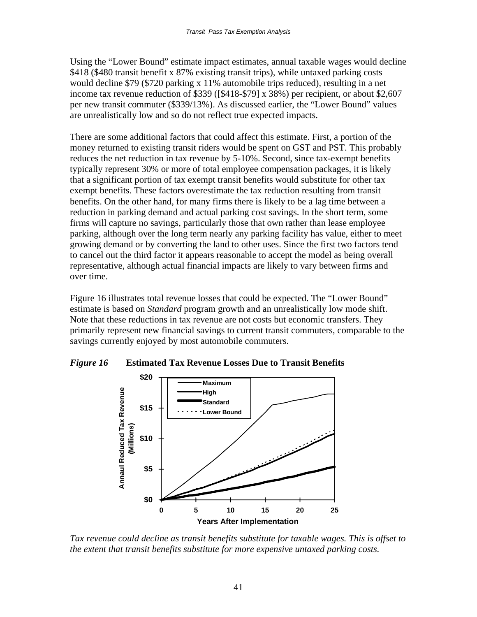Using the "Lower Bound" estimate impact estimates, annual taxable wages would decline \$418 (\$480 transit benefit x 87% existing transit trips), while untaxed parking costs would decline \$79 (\$720 parking x 11% automobile trips reduced), resulting in a net income tax revenue reduction of \$339 ([\$418-\$79] x 38%) per recipient, or about \$2,607 per new transit commuter (\$339/13%). As discussed earlier, the "Lower Bound" values are unrealistically low and so do not reflect true expected impacts.

There are some additional factors that could affect this estimate. First, a portion of the money returned to existing transit riders would be spent on GST and PST. This probably reduces the net reduction in tax revenue by 5-10%. Second, since tax-exempt benefits typically represent 30% or more of total employee compensation packages, it is likely that a significant portion of tax exempt transit benefits would substitute for other tax exempt benefits. These factors overestimate the tax reduction resulting from transit benefits. On the other hand, for many firms there is likely to be a lag time between a reduction in parking demand and actual parking cost savings. In the short term, some firms will capture no savings, particularly those that own rather than lease employee parking, although over the long term nearly any parking facility has value, either to meet growing demand or by converting the land to other uses. Since the first two factors tend to cancel out the third factor it appears reasonable to accept the model as being overall representative, although actual financial impacts are likely to vary between firms and over time.

Figure 16 illustrates total revenue losses that could be expected. The "Lower Bound" estimate is based on *Standard* program growth and an unrealistically low mode shift. Note that these reductions in tax revenue are not costs but economic transfers. They primarily represent new financial savings to current transit commuters, comparable to the savings currently enjoyed by most automobile commuters.





*Tax revenue could decline as transit benefits substitute for taxable wages. This is offset to the extent that transit benefits substitute for more expensive untaxed parking costs.*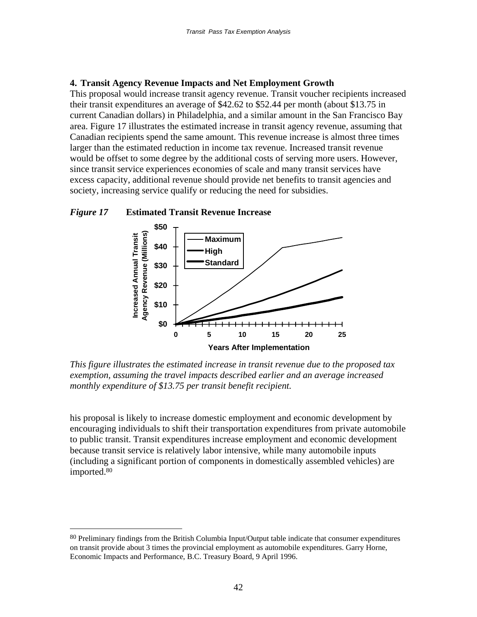#### **4. Transit Agency Revenue Impacts and Net Employment Growth**

This proposal would increase transit agency revenue. Transit voucher recipients increased their transit expenditures an average of \$42.62 to \$52.44 per month (about \$13.75 in current Canadian dollars) in Philadelphia, and a similar amount in the San Francisco Bay area. Figure 17 illustrates the estimated increase in transit agency revenue, assuming that Canadian recipients spend the same amount. This revenue increase is almost three times larger than the estimated reduction in income tax revenue. Increased transit revenue would be offset to some degree by the additional costs of serving more users. However, since transit service experiences economies of scale and many transit services have excess capacity, additional revenue should provide net benefits to transit agencies and society, increasing service qualify or reducing the need for subsidies.

### *Figure 17* **Estimated Transit Revenue Increase**

 $\overline{a}$ 



*This figure illustrates the estimated increase in transit revenue due to the proposed tax exemption, assuming the travel impacts described earlier and an average increased monthly expenditure of \$13.75 per transit benefit recipient.*

his proposal is likely to increase domestic employment and economic development by encouraging individuals to shift their transportation expenditures from private automobile to public transit. Transit expenditures increase employment and economic development because transit service is relatively labor intensive, while many automobile inputs (including a significant portion of components in domestically assembled vehicles) are imported.80

<sup>80</sup> Preliminary findings from the British Columbia Input/Output table indicate that consumer expenditures on transit provide about 3 times the provincial employment as automobile expenditures. Garry Horne, Economic Impacts and Performance, B.C. Treasury Board, 9 April 1996.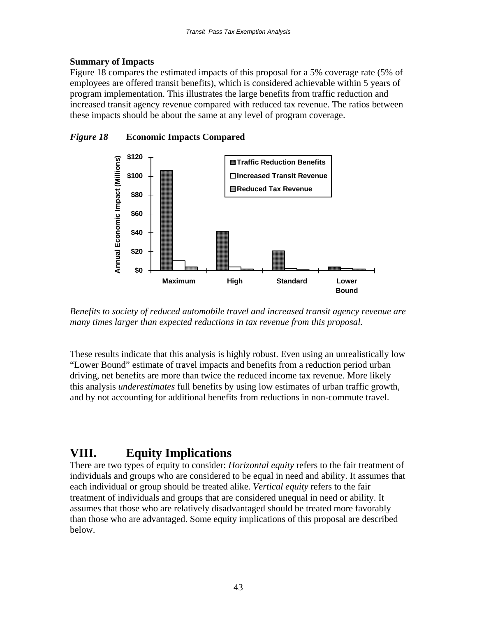# **Summary of Impacts**

Figure 18 compares the estimated impacts of this proposal for a 5% coverage rate (5% of employees are offered transit benefits), which is considered achievable within 5 years of program implementation. This illustrates the large benefits from traffic reduction and increased transit agency revenue compared with reduced tax revenue. The ratios between these impacts should be about the same at any level of program coverage.



*Figure 18* **Economic Impacts Compared**

*Benefits to society of reduced automobile travel and increased transit agency revenue are many times larger than expected reductions in tax revenue from this proposal.*

These results indicate that this analysis is highly robust. Even using an unrealistically low "Lower Bound" estimate of travel impacts and benefits from a reduction period urban driving, net benefits are more than twice the reduced income tax revenue. More likely this analysis *underestimates* full benefits by using low estimates of urban traffic growth, and by not accounting for additional benefits from reductions in non-commute travel.

# **VIII. Equity Implications**

There are two types of equity to consider: *Horizontal equity* refers to the fair treatment of individuals and groups who are considered to be equal in need and ability. It assumes that each individual or group should be treated alike. *Vertical equity* refers to the fair treatment of individuals and groups that are considered unequal in need or ability. It assumes that those who are relatively disadvantaged should be treated more favorably than those who are advantaged. Some equity implications of this proposal are described below.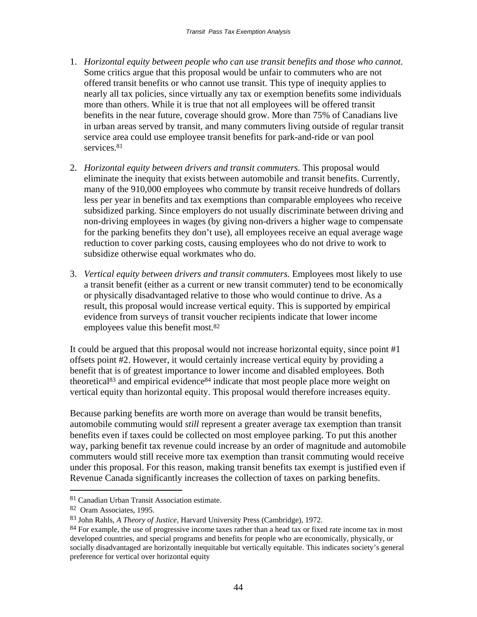- 1. *Horizontal equity between people who can use transit benefits and those who cannot.* Some critics argue that this proposal would be unfair to commuters who are not offered transit benefits or who cannot use transit. This type of inequity applies to nearly all tax policies, since virtually any tax or exemption benefits some individuals more than others. While it is true that not all employees will be offered transit benefits in the near future, coverage should grow. More than 75% of Canadians live in urban areas served by transit, and many commuters living outside of regular transit service area could use employee transit benefits for park-and-ride or van pool services.<sup>81</sup>
- 2. *Horizontal equity between drivers and transit commuters.* This proposal would eliminate the inequity that exists between automobile and transit benefits. Currently, many of the 910,000 employees who commute by transit receive hundreds of dollars less per year in benefits and tax exemptions than comparable employees who receive subsidized parking. Since employers do not usually discriminate between driving and non-driving employees in wages (by giving non-drivers a higher wage to compensate for the parking benefits they don't use), all employees receive an equal average wage reduction to cover parking costs, causing employees who do not drive to work to subsidize otherwise equal workmates who do.
- 3. *Vertical equity between drivers and transit commuters.* Employees most likely to use a transit benefit (either as a current or new transit commuter) tend to be economically or physically disadvantaged relative to those who would continue to drive. As a result, this proposal would increase vertical equity. This is supported by empirical evidence from surveys of transit voucher recipients indicate that lower income employees value this benefit most.82

It could be argued that this proposal would not increase horizontal equity, since point #1 offsets point #2. However, it would certainly increase vertical equity by providing a benefit that is of greatest importance to lower income and disabled employees. Both theoretical<sup>83</sup> and empirical evidence<sup>84</sup> indicate that most people place more weight on vertical equity than horizontal equity. This proposal would therefore increases equity.

Because parking benefits are worth more on average than would be transit benefits, automobile commuting would *still* represent a greater average tax exemption than transit benefits even if taxes could be collected on most employee parking. To put this another way, parking benefit tax revenue could increase by an order of magnitude and automobile commuters would still receive more tax exemption than transit commuting would receive under this proposal. For this reason, making transit benefits tax exempt is justified even if Revenue Canada significantly increases the collection of taxes on parking benefits.

<sup>81</sup> Canadian Urban Transit Association estimate.

<sup>82</sup> Oram Associates, 1995.

<sup>83</sup> John Rahls, *A Theory of Justice*, Harvard University Press (Cambridge), 1972.

 $84$  For example, the use of progressive income taxes rather than a head tax or fixed rate income tax in most developed countries, and special programs and benefits for people who are economically, physically, or socially disadvantaged are horizontally inequitable but vertically equitable. This indicates society's general preference for vertical over horizontal equity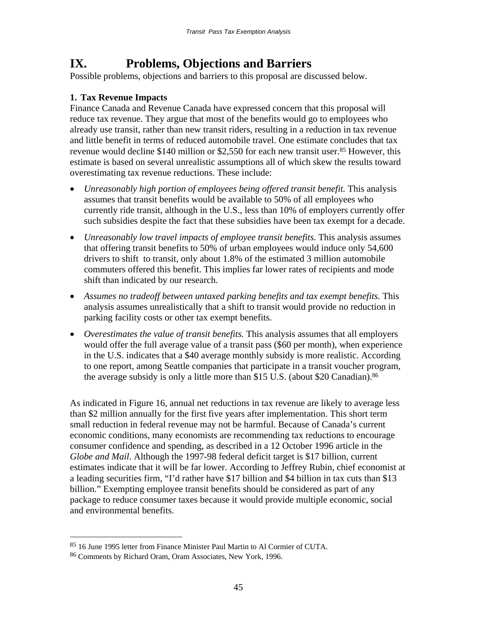# **IX. Problems, Objections and Barriers**

Possible problems, objections and barriers to this proposal are discussed below.

# **1. Tax Revenue Impacts**

Finance Canada and Revenue Canada have expressed concern that this proposal will reduce tax revenue. They argue that most of the benefits would go to employees who already use transit, rather than new transit riders, resulting in a reduction in tax revenue and little benefit in terms of reduced automobile travel. One estimate concludes that tax revenue would decline \$140 million or \$2.550 for each new transit user.<sup>85</sup> However, this estimate is based on several unrealistic assumptions all of which skew the results toward overestimating tax revenue reductions. These include:

- *Unreasonably high portion of employees being offered transit benefit.* This analysis assumes that transit benefits would be available to 50% of all employees who currently ride transit, although in the U.S., less than 10% of employers currently offer such subsidies despite the fact that these subsidies have been tax exempt for a decade.
- *Unreasonably low travel impacts of employee transit benefits*. This analysis assumes that offering transit benefits to 50% of urban employees would induce only 54,600 drivers to shift to transit, only about 1.8% of the estimated 3 million automobile commuters offered this benefit. This implies far lower rates of recipients and mode shift than indicated by our research.
- Assumes no tradeoff between untaxed parking benefits and tax exempt benefits. This analysis assumes unrealistically that a shift to transit would provide no reduction in parking facility costs or other tax exempt benefits.
- *Overestimates the value of transit benefits.* This analysis assumes that all employers would offer the full average value of a transit pass (\$60 per month), when experience in the U.S. indicates that a \$40 average monthly subsidy is more realistic. According to one report, among Seattle companies that participate in a transit voucher program, the average subsidy is only a little more than \$15 U.S. (about \$20 Canadian).<sup>86</sup>

As indicated in Figure 16, annual net reductions in tax revenue are likely to average less than \$2 million annually for the first five years after implementation. This short term small reduction in federal revenue may not be harmful. Because of Canada's current economic conditions, many economists are recommending tax reductions to encourage consumer confidence and spending, as described in a 12 October 1996 article in the *Globe and Mail*. Although the 1997-98 federal deficit target is \$17 billion, current estimates indicate that it will be far lower. According to Jeffrey Rubin, chief economist at a leading securities firm, "I'd rather have \$17 billion and \$4 billion in tax cuts than \$13 billion." Exempting employee transit benefits should be considered as part of any package to reduce consumer taxes because it would provide multiple economic, social and environmental benefits.

<sup>85 16</sup> June 1995 letter from Finance Minister Paul Martin to Al Cormier of CUTA.

<sup>86</sup> Comments by Richard Oram, Oram Associates, New York, 1996.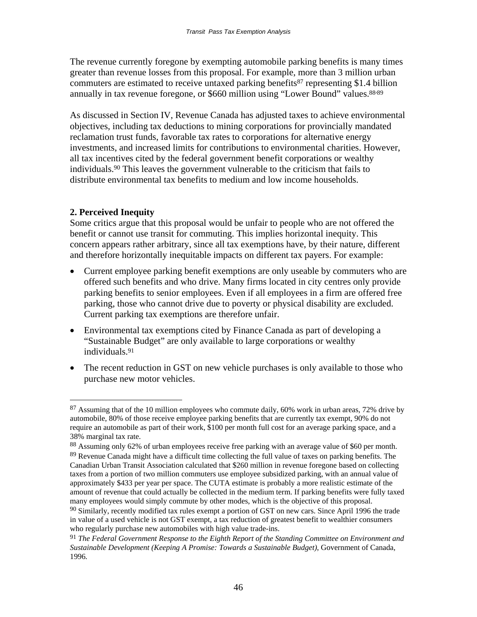The revenue currently foregone by exempting automobile parking benefits is many times greater than revenue losses from this proposal. For example, more than 3 million urban commuters are estimated to receive untaxed parking benefits<sup>87</sup> representing \$1.4 billion annually in tax revenue foregone, or \$660 million using "Lower Bound" values.<sup>88.89</sup>

As discussed in Section IV, Revenue Canada has adjusted taxes to achieve environmental objectives, including tax deductions to mining corporations for provincially mandated reclamation trust funds, favorable tax rates to corporations for alternative energy investments, and increased limits for contributions to environmental charities. However, all tax incentives cited by the federal government benefit corporations or wealthy individuals.90 This leaves the government vulnerable to the criticism that fails to distribute environmental tax benefits to medium and low income households.

# **2. Perceived Inequity**

 $\overline{a}$ 

Some critics argue that this proposal would be unfair to people who are not offered the benefit or cannot use transit for commuting. This implies horizontal inequity. This concern appears rather arbitrary, since all tax exemptions have, by their nature, different and therefore horizontally inequitable impacts on different tax payers. For example:

- Current employee parking benefit exemptions are only useable by commuters who are offered such benefits and who drive. Many firms located in city centres only provide parking benefits to senior employees. Even if all employees in a firm are offered free parking, those who cannot drive due to poverty or physical disability are excluded. Current parking tax exemptions are therefore unfair.
- Environmental tax exemptions cited by Finance Canada as part of developing a "Sustainable Budget" are only available to large corporations or wealthy individuals.91
- The recent reduction in GST on new vehicle purchases is only available to those who purchase new motor vehicles.

 $87$  Assuming that of the 10 million employees who commute daily, 60% work in urban areas, 72% drive by automobile, 80% of those receive employee parking benefits that are currently tax exempt, 90% do not require an automobile as part of their work, \$100 per month full cost for an average parking space, and a 38% marginal tax rate.

<sup>88</sup> Assuming only 62% of urban employees receive free parking with an average value of \$60 per month.  $89$  Revenue Canada might have a difficult time collecting the full value of taxes on parking benefits. The Canadian Urban Transit Association calculated that \$260 million in revenue foregone based on collecting taxes from a portion of two million commuters use employee subsidized parking, with an annual value of approximately \$433 per year per space. The CUTA estimate is probably a more realistic estimate of the amount of revenue that could actually be collected in the medium term. If parking benefits were fully taxed

many employees would simply commute by other modes, which is the objective of this proposal.  $90$  Similarly, recently modified tax rules exempt a portion of GST on new cars. Since April 1996 the trade in value of a used vehicle is not GST exempt, a tax reduction of greatest benefit to wealthier consumers who regularly purchase new automobiles with high value trade-ins.

<sup>91</sup> *The Federal Government Response to the Eighth Report of the Standing Committee on Environment and Sustainable Development (Keeping A Promise: Towards a Sustainable Budget)*, Government of Canada, 1996*.*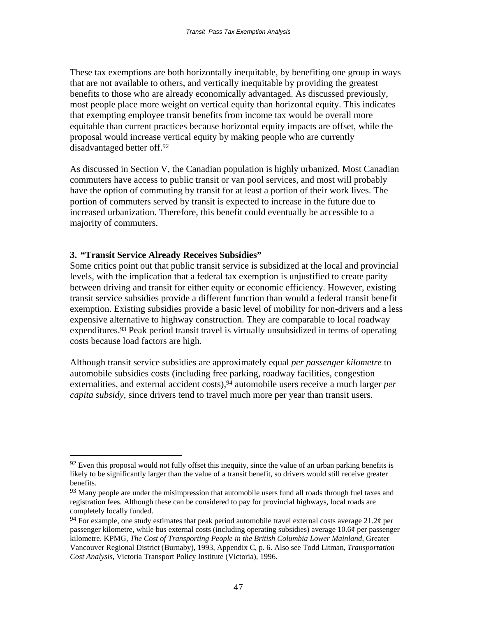These tax exemptions are both horizontally inequitable, by benefiting one group in ways that are not available to others, and vertically inequitable by providing the greatest benefits to those who are already economically advantaged. As discussed previously, most people place more weight on vertical equity than horizontal equity. This indicates that exempting employee transit benefits from income tax would be overall more equitable than current practices because horizontal equity impacts are offset, while the proposal would increase vertical equity by making people who are currently disadvantaged better off.92

As discussed in Section V, the Canadian population is highly urbanized. Most Canadian commuters have access to public transit or van pool services, and most will probably have the option of commuting by transit for at least a portion of their work lives. The portion of commuters served by transit is expected to increase in the future due to increased urbanization. Therefore, this benefit could eventually be accessible to a majority of commuters.

# **3. "Transit Service Already Receives Subsidies"**

 $\overline{a}$ 

Some critics point out that public transit service is subsidized at the local and provincial levels, with the implication that a federal tax exemption is unjustified to create parity between driving and transit for either equity or economic efficiency. However, existing transit service subsidies provide a different function than would a federal transit benefit exemption. Existing subsidies provide a basic level of mobility for non-drivers and a less expensive alternative to highway construction. They are comparable to local roadway expenditures.<sup>93</sup> Peak period transit travel is virtually unsubsidized in terms of operating costs because load factors are high.

Although transit service subsidies are approximately equal *per passenger kilometre* to automobile subsidies costs (including free parking, roadway facilities, congestion externalities, and external accident costs),<sup>94</sup> automobile users receive a much larger *per capita subsidy*, since drivers tend to travel much more per year than transit users.

 $92$  Even this proposal would not fully offset this inequity, since the value of an urban parking benefits is likely to be significantly larger than the value of a transit benefit, so drivers would still receive greater benefits.

<sup>&</sup>lt;sup>93</sup> Many people are under the misimpression that automobile users fund all roads through fuel taxes and registration fees. Although these can be considered to pay for provincial highways, local roads are completely locally funded.

<sup>&</sup>lt;sup>94</sup> For example, one study estimates that peak period automobile travel external costs average 21.2¢ per passenger kilometre, while bus external costs (including operating subsidies) average 10.6¢ per passenger kilometre. KPMG, *The Cost of Transporting People in the British Columbia Lower Mainland*, Greater Vancouver Regional District (Burnaby), 1993, Appendix C, p. 6. Also see Todd Litman, *Transportation Cost Analysis*, Victoria Transport Policy Institute (Victoria), 1996.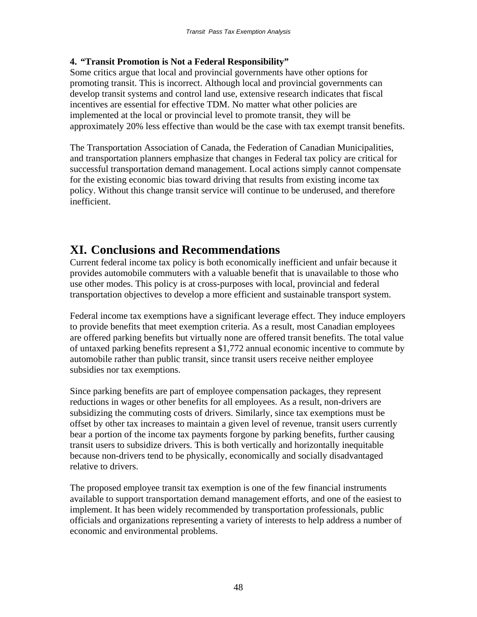# **4. "Transit Promotion is Not a Federal Responsibility"**

Some critics argue that local and provincial governments have other options for promoting transit. This is incorrect. Although local and provincial governments can develop transit systems and control land use, extensive research indicates that fiscal incentives are essential for effective TDM. No matter what other policies are implemented at the local or provincial level to promote transit, they will be approximately 20% less effective than would be the case with tax exempt transit benefits.

The Transportation Association of Canada, the Federation of Canadian Municipalities, and transportation planners emphasize that changes in Federal tax policy are critical for successful transportation demand management. Local actions simply cannot compensate for the existing economic bias toward driving that results from existing income tax policy. Without this change transit service will continue to be underused, and therefore inefficient.

# **XI. Conclusions and Recommendations**

Current federal income tax policy is both economically inefficient and unfair because it provides automobile commuters with a valuable benefit that is unavailable to those who use other modes. This policy is at cross-purposes with local, provincial and federal transportation objectives to develop a more efficient and sustainable transport system.

Federal income tax exemptions have a significant leverage effect. They induce employers to provide benefits that meet exemption criteria. As a result, most Canadian employees are offered parking benefits but virtually none are offered transit benefits. The total value of untaxed parking benefits represent a \$1,772 annual economic incentive to commute by automobile rather than public transit, since transit users receive neither employee subsidies nor tax exemptions.

Since parking benefits are part of employee compensation packages, they represent reductions in wages or other benefits for all employees. As a result, non-drivers are subsidizing the commuting costs of drivers. Similarly, since tax exemptions must be offset by other tax increases to maintain a given level of revenue, transit users currently bear a portion of the income tax payments forgone by parking benefits, further causing transit users to subsidize drivers. This is both vertically and horizontally inequitable because non-drivers tend to be physically, economically and socially disadvantaged relative to drivers.

The proposed employee transit tax exemption is one of the few financial instruments available to support transportation demand management efforts, and one of the easiest to implement. It has been widely recommended by transportation professionals, public officials and organizations representing a variety of interests to help address a number of economic and environmental problems.